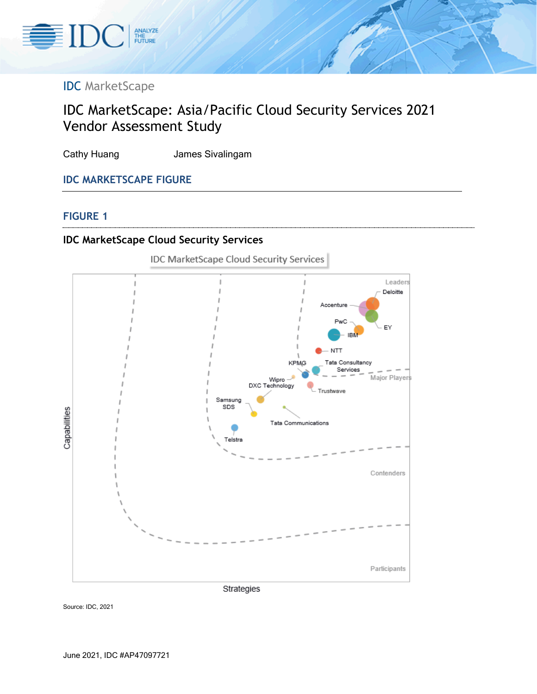

# IDC MarketScape

# IDC MarketScape: Asia/Pacific Cloud Security Services 2021 Vendor Assessment Study

Cathy Huang **James Sivalingam** 

# **IDC MARKETSCAPE FIGURE**

#### **FIGURE 1**

# **IDC MarketScape Cloud Security Services**



Source: IDC, 2021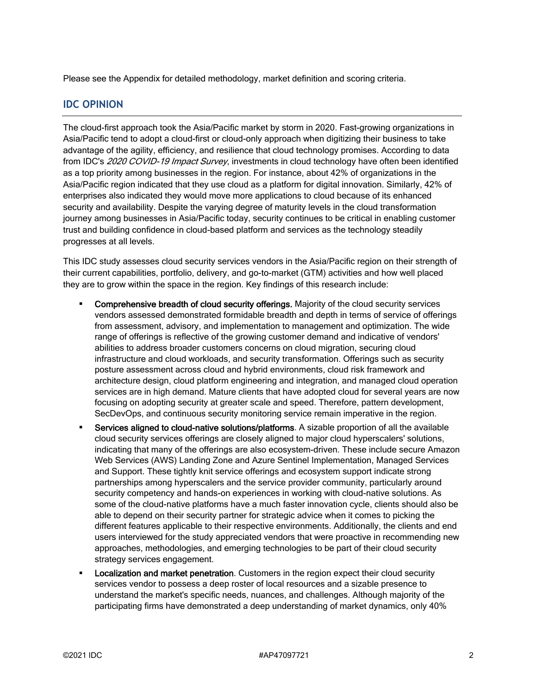Please see the Appendix for detailed methodology, market definition and scoring criteria.

#### **IDC OPINION**

The cloud-first approach took the Asia/Pacific market by storm in 2020. Fast-growing organizations in Asia/Pacific tend to adopt a cloud-first or cloud-only approach when digitizing their business to take advantage of the agility, efficiency, and resilience that cloud technology promises. According to data from IDC's 2020 COVID-19 Impact Survey, investments in cloud technology have often been identified as a top priority among businesses in the region. For instance, about 42% of organizations in the Asia/Pacific region indicated that they use cloud as a platform for digital innovation. Similarly, 42% of enterprises also indicated they would move more applications to cloud because of its enhanced security and availability. Despite the varying degree of maturity levels in the cloud transformation journey among businesses in Asia/Pacific today, security continues to be critical in enabling customer trust and building confidence in cloud-based platform and services as the technology steadily progresses at all levels.

This IDC study assesses cloud security services vendors in the Asia/Pacific region on their strength of their current capabilities, portfolio, delivery, and go-to-market (GTM) activities and how well placed they are to grow within the space in the region. Key findings of this research include:

- Comprehensive breadth of cloud security offerings. Majority of the cloud security services vendors assessed demonstrated formidable breadth and depth in terms of service of offerings from assessment, advisory, and implementation to management and optimization. The wide range of offerings is reflective of the growing customer demand and indicative of vendors' abilities to address broader customers concerns on cloud migration, securing cloud infrastructure and cloud workloads, and security transformation. Offerings such as security posture assessment across cloud and hybrid environments, cloud risk framework and architecture design, cloud platform engineering and integration, and managed cloud operation services are in high demand. Mature clients that have adopted cloud for several years are now focusing on adopting security at greater scale and speed. Therefore, pattern development, SecDevOps, and continuous security monitoring service remain imperative in the region.
- Services aligned to cloud-native solutions/platforms. A sizable proportion of all the available cloud security services offerings are closely aligned to major cloud hyperscalers' solutions, indicating that many of the offerings are also ecosystem-driven. These include secure Amazon Web Services (AWS) Landing Zone and Azure Sentinel Implementation, Managed Services and Support. These tightly knit service offerings and ecosystem support indicate strong partnerships among hyperscalers and the service provider community, particularly around security competency and hands-on experiences in working with cloud-native solutions. As some of the cloud-native platforms have a much faster innovation cycle, clients should also be able to depend on their security partner for strategic advice when it comes to picking the different features applicable to their respective environments. Additionally, the clients and end users interviewed for the study appreciated vendors that were proactive in recommending new approaches, methodologies, and emerging technologies to be part of their cloud security strategy services engagement.
- Localization and market penetration. Customers in the region expect their cloud security services vendor to possess a deep roster of local resources and a sizable presence to understand the market's specific needs, nuances, and challenges. Although majority of the participating firms have demonstrated a deep understanding of market dynamics, only 40%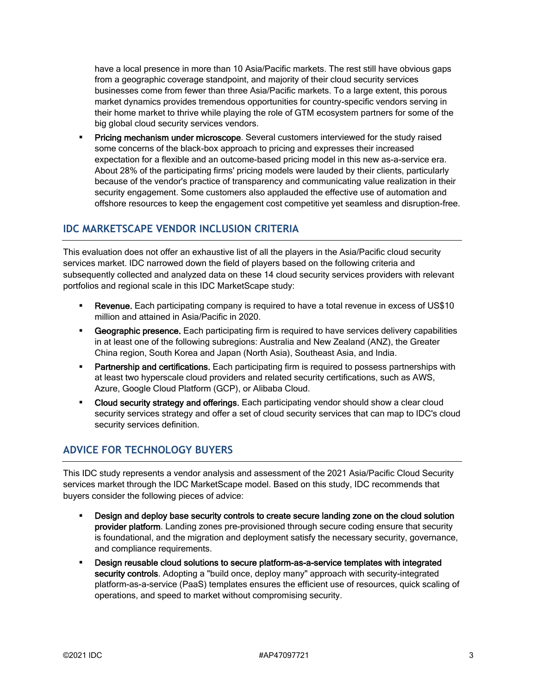have a local presence in more than 10 Asia/Pacific markets. The rest still have obvious gaps from a geographic coverage standpoint, and majority of their cloud security services businesses come from fewer than three Asia/Pacific markets. To a large extent, this porous market dynamics provides tremendous opportunities for country-specific vendors serving in their home market to thrive while playing the role of GTM ecosystem partners for some of the big global cloud security services vendors.

 Pricing mechanism under microscope. Several customers interviewed for the study raised some concerns of the black-box approach to pricing and expresses their increased expectation for a flexible and an outcome-based pricing model in this new as-a-service era. About 28% of the participating firms' pricing models were lauded by their clients, particularly because of the vendor's practice of transparency and communicating value realization in their security engagement. Some customers also applauded the effective use of automation and offshore resources to keep the engagement cost competitive yet seamless and disruption-free.

#### **IDC MARKETSCAPE VENDOR INCLUSION CRITERIA**

This evaluation does not offer an exhaustive list of all the players in the Asia/Pacific cloud security services market. IDC narrowed down the field of players based on the following criteria and subsequently collected and analyzed data on these 14 cloud security services providers with relevant portfolios and regional scale in this IDC MarketScape study:

- **Revenue.** Each participating company is required to have a total revenue in excess of US\$10 million and attained in Asia/Pacific in 2020.
- **Example 3** Geographic presence. Each participating firm is required to have services delivery capabilities in at least one of the following subregions: Australia and New Zealand (ANZ), the Greater China region, South Korea and Japan (North Asia), Southeast Asia, and India.
- **Partnership and certifications.** Each participating firm is required to possess partnerships with at least two hyperscale cloud providers and related security certifications, such as AWS, Azure, Google Cloud Platform (GCP), or Alibaba Cloud.
- Cloud security strategy and offerings. Each participating vendor should show a clear cloud security services strategy and offer a set of cloud security services that can map to IDC's cloud security services definition.

# **ADVICE FOR TECHNOLOGY BUYERS**

This IDC study represents a vendor analysis and assessment of the 2021 Asia/Pacific Cloud Security services market through the IDC MarketScape model. Based on this study, IDC recommends that buyers consider the following pieces of advice:

- Design and deploy base security controls to create secure landing zone on the cloud solution provider platform. Landing zones pre-provisioned through secure coding ensure that security is foundational, and the migration and deployment satisfy the necessary security, governance, and compliance requirements.
- Design reusable cloud solutions to secure platform-as-a-service templates with integrated security controls. Adopting a "build once, deploy many" approach with security-integrated platform-as-a-service (PaaS) templates ensures the efficient use of resources, quick scaling of operations, and speed to market without compromising security.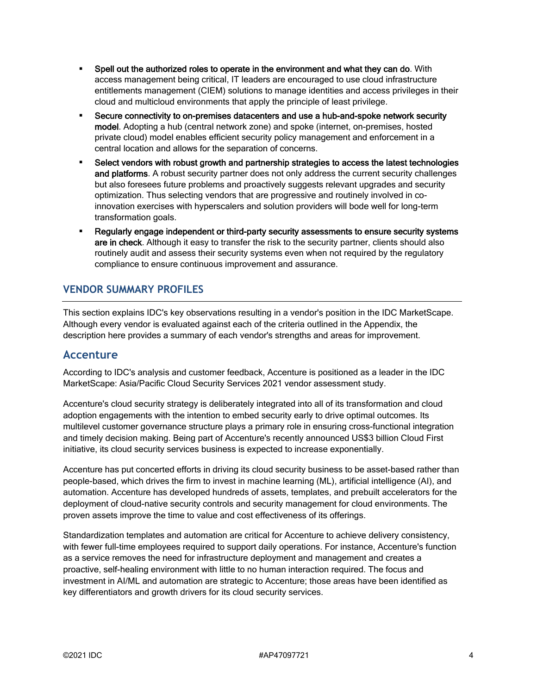- Spell out the authorized roles to operate in the environment and what they can do. With access management being critical, IT leaders are encouraged to use cloud infrastructure entitlements management (CIEM) solutions to manage identities and access privileges in their cloud and multicloud environments that apply the principle of least privilege.
- Secure connectivity to on-premises datacenters and use a hub-and-spoke network security model. Adopting a hub (central network zone) and spoke (internet, on-premises, hosted private cloud) model enables efficient security policy management and enforcement in a central location and allows for the separation of concerns.
- **Select vendors with robust growth and partnership strategies to access the latest technologies** and platforms. A robust security partner does not only address the current security challenges but also foresees future problems and proactively suggests relevant upgrades and security optimization. Thus selecting vendors that are progressive and routinely involved in coinnovation exercises with hyperscalers and solution providers will bode well for long-term transformation goals.
- Regularly engage independent or third-party security assessments to ensure security systems are in check. Although it easy to transfer the risk to the security partner, clients should also routinely audit and assess their security systems even when not required by the regulatory compliance to ensure continuous improvement and assurance.

# **VENDOR SUMMARY PROFILES**

This section explains IDC's key observations resulting in a vendor's position in the IDC MarketScape. Although every vendor is evaluated against each of the criteria outlined in the Appendix, the description here provides a summary of each vendor's strengths and areas for improvement.

#### **Accenture**

According to IDC's analysis and customer feedback, Accenture is positioned as a leader in the IDC MarketScape: Asia/Pacific Cloud Security Services 2021 vendor assessment study.

Accenture's cloud security strategy is deliberately integrated into all of its transformation and cloud adoption engagements with the intention to embed security early to drive optimal outcomes. Its multilevel customer governance structure plays a primary role in ensuring cross-functional integration and timely decision making. Being part of Accenture's recently announced US\$3 billion Cloud First initiative, its cloud security services business is expected to increase exponentially.

Accenture has put concerted efforts in driving its cloud security business to be asset-based rather than people-based, which drives the firm to invest in machine learning (ML), artificial intelligence (AI), and automation. Accenture has developed hundreds of assets, templates, and prebuilt accelerators for the deployment of cloud-native security controls and security management for cloud environments. The proven assets improve the time to value and cost effectiveness of its offerings.

Standardization templates and automation are critical for Accenture to achieve delivery consistency, with fewer full-time employees required to support daily operations. For instance, Accenture's function as a service removes the need for infrastructure deployment and management and creates a proactive, self-healing environment with little to no human interaction required. The focus and investment in AI/ML and automation are strategic to Accenture; those areas have been identified as key differentiators and growth drivers for its cloud security services.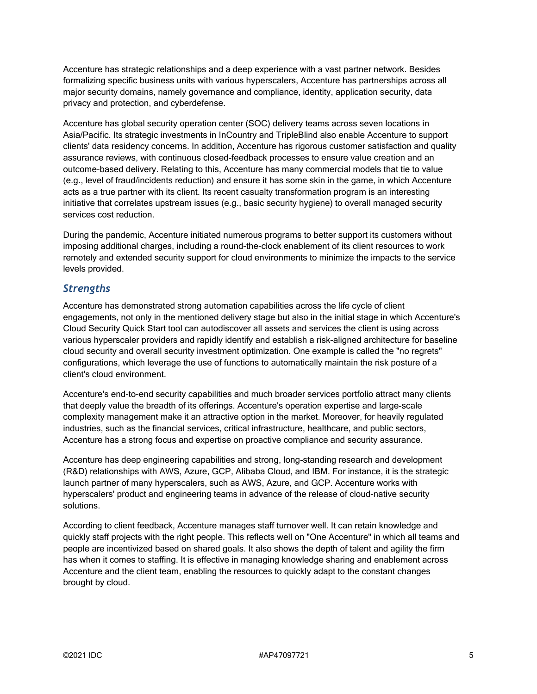Accenture has strategic relationships and a deep experience with a vast partner network. Besides formalizing specific business units with various hyperscalers, Accenture has partnerships across all major security domains, namely governance and compliance, identity, application security, data privacy and protection, and cyberdefense.

Accenture has global security operation center (SOC) delivery teams across seven locations in Asia/Pacific. Its strategic investments in InCountry and TripleBlind also enable Accenture to support clients' data residency concerns. In addition, Accenture has rigorous customer satisfaction and quality assurance reviews, with continuous closed-feedback processes to ensure value creation and an outcome-based delivery. Relating to this, Accenture has many commercial models that tie to value (e.g., level of fraud/incidents reduction) and ensure it has some skin in the game, in which Accenture acts as a true partner with its client. Its recent casualty transformation program is an interesting initiative that correlates upstream issues (e.g., basic security hygiene) to overall managed security services cost reduction.

During the pandemic, Accenture initiated numerous programs to better support its customers without imposing additional charges, including a round-the-clock enablement of its client resources to work remotely and extended security support for cloud environments to minimize the impacts to the service levels provided.

#### *Strengths*

Accenture has demonstrated strong automation capabilities across the life cycle of client engagements, not only in the mentioned delivery stage but also in the initial stage in which Accenture's Cloud Security Quick Start tool can autodiscover all assets and services the client is using across various hyperscaler providers and rapidly identify and establish a risk-aligned architecture for baseline cloud security and overall security investment optimization. One example is called the "no regrets" configurations, which leverage the use of functions to automatically maintain the risk posture of a client's cloud environment.

Accenture's end-to-end security capabilities and much broader services portfolio attract many clients that deeply value the breadth of its offerings. Accenture's operation expertise and large-scale complexity management make it an attractive option in the market. Moreover, for heavily regulated industries, such as the financial services, critical infrastructure, healthcare, and public sectors, Accenture has a strong focus and expertise on proactive compliance and security assurance.

Accenture has deep engineering capabilities and strong, long-standing research and development (R&D) relationships with AWS, Azure, GCP, Alibaba Cloud, and IBM. For instance, it is the strategic launch partner of many hyperscalers, such as AWS, Azure, and GCP. Accenture works with hyperscalers' product and engineering teams in advance of the release of cloud-native security solutions.

According to client feedback, Accenture manages staff turnover well. It can retain knowledge and quickly staff projects with the right people. This reflects well on "One Accenture" in which all teams and people are incentivized based on shared goals. It also shows the depth of talent and agility the firm has when it comes to staffing. It is effective in managing knowledge sharing and enablement across Accenture and the client team, enabling the resources to quickly adapt to the constant changes brought by cloud.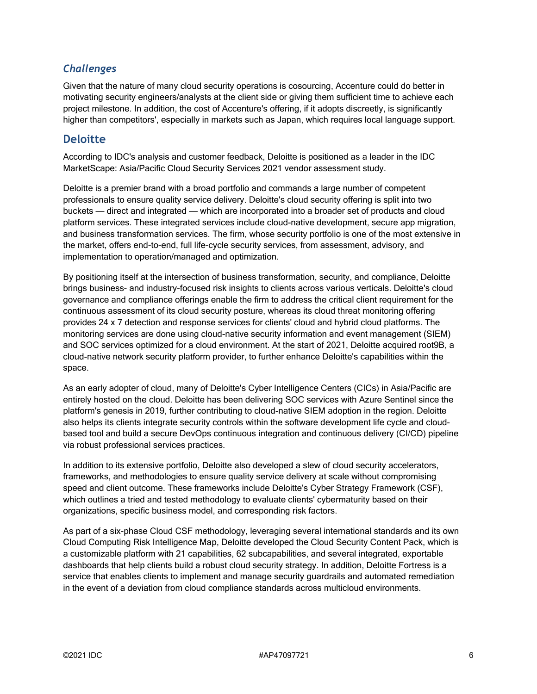### *Challenges*

Given that the nature of many cloud security operations is cosourcing, Accenture could do better in motivating security engineers/analysts at the client side or giving them sufficient time to achieve each project milestone. In addition, the cost of Accenture's offering, if it adopts discreetly, is significantly higher than competitors', especially in markets such as Japan, which requires local language support.

### **Deloitte**

According to IDC's analysis and customer feedback, Deloitte is positioned as a leader in the IDC MarketScape: Asia/Pacific Cloud Security Services 2021 vendor assessment study.

Deloitte is a premier brand with a broad portfolio and commands a large number of competent professionals to ensure quality service delivery. Deloitte's cloud security offering is split into two buckets — direct and integrated — which are incorporated into a broader set of products and cloud platform services. These integrated services include cloud-native development, secure app migration, and business transformation services. The firm, whose security portfolio is one of the most extensive in the market, offers end-to-end, full life-cycle security services, from assessment, advisory, and implementation to operation/managed and optimization.

By positioning itself at the intersection of business transformation, security, and compliance, Deloitte brings business- and industry-focused risk insights to clients across various verticals. Deloitte's cloud governance and compliance offerings enable the firm to address the critical client requirement for the continuous assessment of its cloud security posture, whereas its cloud threat monitoring offering provides 24 x 7 detection and response services for clients' cloud and hybrid cloud platforms. The monitoring services are done using cloud-native security information and event management (SIEM) and SOC services optimized for a cloud environment. At the start of 2021, Deloitte acquired root9B, a cloud-native network security platform provider, to further enhance Deloitte's capabilities within the space.

As an early adopter of cloud, many of Deloitte's Cyber Intelligence Centers (CICs) in Asia/Pacific are entirely hosted on the cloud. Deloitte has been delivering SOC services with Azure Sentinel since the platform's genesis in 2019, further contributing to cloud-native SIEM adoption in the region. Deloitte also helps its clients integrate security controls within the software development life cycle and cloudbased tool and build a secure DevOps continuous integration and continuous delivery (CI/CD) pipeline via robust professional services practices.

In addition to its extensive portfolio, Deloitte also developed a slew of cloud security accelerators, frameworks, and methodologies to ensure quality service delivery at scale without compromising speed and client outcome. These frameworks include Deloitte's Cyber Strategy Framework (CSF), which outlines a tried and tested methodology to evaluate clients' cybermaturity based on their organizations, specific business model, and corresponding risk factors.

As part of a six-phase Cloud CSF methodology, leveraging several international standards and its own Cloud Computing Risk Intelligence Map, Deloitte developed the Cloud Security Content Pack, which is a customizable platform with 21 capabilities, 62 subcapabilities, and several integrated, exportable dashboards that help clients build a robust cloud security strategy. In addition, Deloitte Fortress is a service that enables clients to implement and manage security guardrails and automated remediation in the event of a deviation from cloud compliance standards across multicloud environments.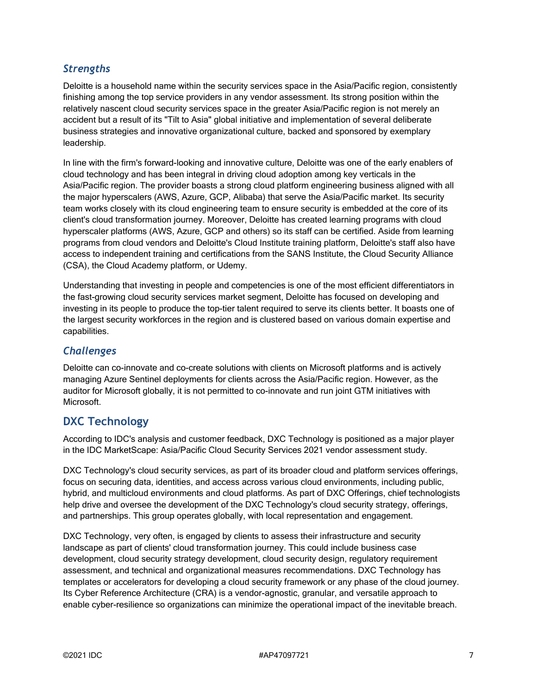# *Strengths*

Deloitte is a household name within the security services space in the Asia/Pacific region, consistently finishing among the top service providers in any vendor assessment. Its strong position within the relatively nascent cloud security services space in the greater Asia/Pacific region is not merely an accident but a result of its "Tilt to Asia" global initiative and implementation of several deliberate business strategies and innovative organizational culture, backed and sponsored by exemplary leadership.

In line with the firm's forward-looking and innovative culture, Deloitte was one of the early enablers of cloud technology and has been integral in driving cloud adoption among key verticals in the Asia/Pacific region. The provider boasts a strong cloud platform engineering business aligned with all the major hyperscalers (AWS, Azure, GCP, Alibaba) that serve the Asia/Pacific market. Its security team works closely with its cloud engineering team to ensure security is embedded at the core of its client's cloud transformation journey. Moreover, Deloitte has created learning programs with cloud hyperscaler platforms (AWS, Azure, GCP and others) so its staff can be certified. Aside from learning programs from cloud vendors and Deloitte's Cloud Institute training platform, Deloitte's staff also have access to independent training and certifications from the SANS Institute, the Cloud Security Alliance (CSA), the Cloud Academy platform, or Udemy.

Understanding that investing in people and competencies is one of the most efficient differentiators in the fast-growing cloud security services market segment, Deloitte has focused on developing and investing in its people to produce the top-tier talent required to serve its clients better. It boasts one of the largest security workforces in the region and is clustered based on various domain expertise and capabilities.

# *Challenges*

Deloitte can co-innovate and co-create solutions with clients on Microsoft platforms and is actively managing Azure Sentinel deployments for clients across the Asia/Pacific region. However, as the auditor for Microsoft globally, it is not permitted to co-innovate and run joint GTM initiatives with Microsoft.

# **DXC Technology**

According to IDC's analysis and customer feedback, DXC Technology is positioned as a major player in the IDC MarketScape: Asia/Pacific Cloud Security Services 2021 vendor assessment study.

DXC Technology's cloud security services, as part of its broader cloud and platform services offerings, focus on securing data, identities, and access across various cloud environments, including public, hybrid, and multicloud environments and cloud platforms. As part of DXC Offerings, chief technologists help drive and oversee the development of the DXC Technology's cloud security strategy, offerings, and partnerships. This group operates globally, with local representation and engagement.

DXC Technology, very often, is engaged by clients to assess their infrastructure and security landscape as part of clients' cloud transformation journey. This could include business case development, cloud security strategy development, cloud security design, regulatory requirement assessment, and technical and organizational measures recommendations. DXC Technology has templates or accelerators for developing a cloud security framework or any phase of the cloud journey. Its Cyber Reference Architecture (CRA) is a vendor-agnostic, granular, and versatile approach to enable cyber-resilience so organizations can minimize the operational impact of the inevitable breach.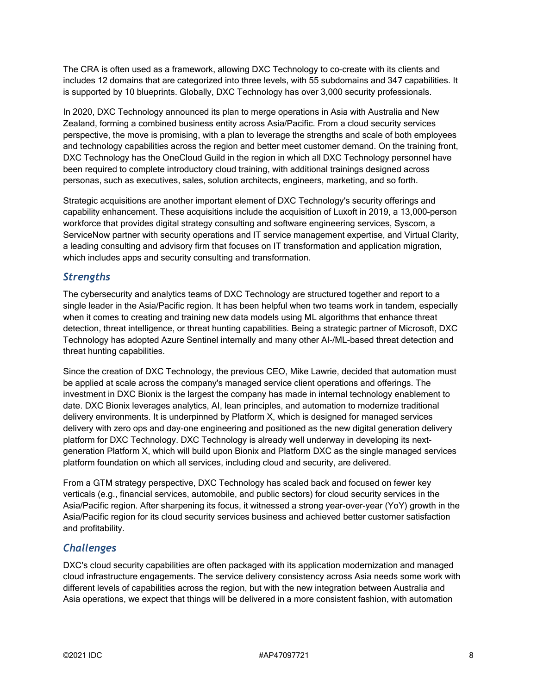The CRA is often used as a framework, allowing DXC Technology to co-create with its clients and includes 12 domains that are categorized into three levels, with 55 subdomains and 347 capabilities. It is supported by 10 blueprints. Globally, DXC Technology has over 3,000 security professionals.

In 2020, DXC Technology announced its plan to merge operations in Asia with Australia and New Zealand, forming a combined business entity across Asia/Pacific. From a cloud security services perspective, the move is promising, with a plan to leverage the strengths and scale of both employees and technology capabilities across the region and better meet customer demand. On the training front, DXC Technology has the OneCloud Guild in the region in which all DXC Technology personnel have been required to complete introductory cloud training, with additional trainings designed across personas, such as executives, sales, solution architects, engineers, marketing, and so forth.

Strategic acquisitions are another important element of DXC Technology's security offerings and capability enhancement. These acquisitions include the acquisition of Luxoft in 2019, a 13,000-person workforce that provides digital strategy consulting and software engineering services, Syscom, a ServiceNow partner with security operations and IT service management expertise, and Virtual Clarity, a leading consulting and advisory firm that focuses on IT transformation and application migration, which includes apps and security consulting and transformation.

#### *Strengths*

The cybersecurity and analytics teams of DXC Technology are structured together and report to a single leader in the Asia/Pacific region. It has been helpful when two teams work in tandem, especially when it comes to creating and training new data models using ML algorithms that enhance threat detection, threat intelligence, or threat hunting capabilities. Being a strategic partner of Microsoft, DXC Technology has adopted Azure Sentinel internally and many other AI-/ML-based threat detection and threat hunting capabilities.

Since the creation of DXC Technology, the previous CEO, Mike Lawrie, decided that automation must be applied at scale across the company's managed service client operations and offerings. The investment in DXC Bionix is the largest the company has made in internal technology enablement to date. DXC Bionix leverages analytics, AI, lean principles, and automation to modernize traditional delivery environments. It is underpinned by Platform X, which is designed for managed services delivery with zero ops and day-one engineering and positioned as the new digital generation delivery platform for DXC Technology. DXC Technology is already well underway in developing its nextgeneration Platform X, which will build upon Bionix and Platform DXC as the single managed services platform foundation on which all services, including cloud and security, are delivered.

From a GTM strategy perspective, DXC Technology has scaled back and focused on fewer key verticals (e.g., financial services, automobile, and public sectors) for cloud security services in the Asia/Pacific region. After sharpening its focus, it witnessed a strong year-over-year (YoY) growth in the Asia/Pacific region for its cloud security services business and achieved better customer satisfaction and profitability.

# *Challenges*

DXC's cloud security capabilities are often packaged with its application modernization and managed cloud infrastructure engagements. The service delivery consistency across Asia needs some work with different levels of capabilities across the region, but with the new integration between Australia and Asia operations, we expect that things will be delivered in a more consistent fashion, with automation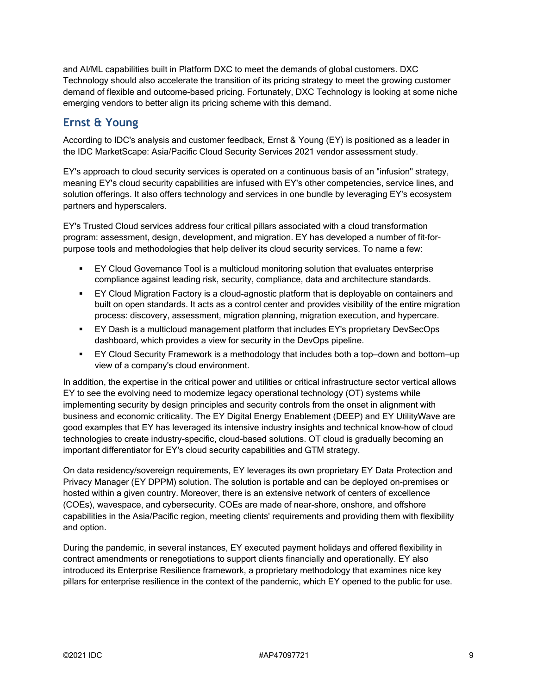and AI/ML capabilities built in Platform DXC to meet the demands of global customers. DXC Technology should also accelerate the transition of its pricing strategy to meet the growing customer demand of flexible and outcome-based pricing. Fortunately, DXC Technology is looking at some niche emerging vendors to better align its pricing scheme with this demand.

# **Ernst & Young**

According to IDC's analysis and customer feedback, Ernst & Young (EY) is positioned as a leader in the IDC MarketScape: Asia/Pacific Cloud Security Services 2021 vendor assessment study.

EY's approach to cloud security services is operated on a continuous basis of an "infusion" strategy, meaning EY's cloud security capabilities are infused with EY's other competencies, service lines, and solution offerings. It also offers technology and services in one bundle by leveraging EY's ecosystem partners and hyperscalers.

EY's Trusted Cloud services address four critical pillars associated with a cloud transformation program: assessment, design, development, and migration. EY has developed a number of fit-forpurpose tools and methodologies that help deliver its cloud security services. To name a few:

- EY Cloud Governance Tool is a multicloud monitoring solution that evaluates enterprise compliance against leading risk, security, compliance, data and architecture standards.
- EY Cloud Migration Factory is a cloud-agnostic platform that is deployable on containers and built on open standards. It acts as a control center and provides visibility of the entire migration process: discovery, assessment, migration planning, migration execution, and hypercare.
- EY Dash is a multicloud management platform that includes EY's proprietary DevSecOps dashboard, which provides a view for security in the DevOps pipeline.
- EY Cloud Security Framework is a methodology that includes both a top–down and bottom–up view of a company's cloud environment.

In addition, the expertise in the critical power and utilities or critical infrastructure sector vertical allows EY to see the evolving need to modernize legacy operational technology (OT) systems while implementing security by design principles and security controls from the onset in alignment with business and economic criticality. The EY Digital Energy Enablement (DEEP) and EY UtilityWave are good examples that EY has leveraged its intensive industry insights and technical know-how of cloud technologies to create industry-specific, cloud-based solutions. OT cloud is gradually becoming an important differentiator for EY's cloud security capabilities and GTM strategy.

On data residency/sovereign requirements, EY leverages its own proprietary EY Data Protection and Privacy Manager (EY DPPM) solution. The solution is portable and can be deployed on-premises or hosted within a given country. Moreover, there is an extensive network of centers of excellence (COEs), wavespace, and cybersecurity. COEs are made of near-shore, onshore, and offshore capabilities in the Asia/Pacific region, meeting clients' requirements and providing them with flexibility and option.

During the pandemic, in several instances, EY executed payment holidays and offered flexibility in contract amendments or renegotiations to support clients financially and operationally. EY also introduced its Enterprise Resilience framework, a proprietary methodology that examines nice key pillars for enterprise resilience in the context of the pandemic, which EY opened to the public for use.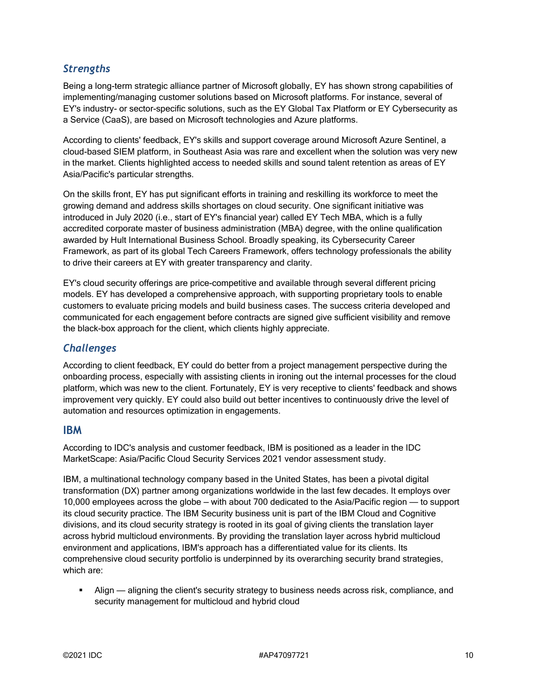# *Strengths*

Being a long-term strategic alliance partner of Microsoft globally, EY has shown strong capabilities of implementing/managing customer solutions based on Microsoft platforms. For instance, several of EY's industry- or sector-specific solutions, such as the EY Global Tax Platform or EY Cybersecurity as a Service (CaaS), are based on Microsoft technologies and Azure platforms.

According to clients' feedback, EY's skills and support coverage around Microsoft Azure Sentinel, a cloud-based SIEM platform, in Southeast Asia was rare and excellent when the solution was very new in the market. Clients highlighted access to needed skills and sound talent retention as areas of EY Asia/Pacific's particular strengths.

On the skills front, EY has put significant efforts in training and reskilling its workforce to meet the growing demand and address skills shortages on cloud security. One significant initiative was introduced in July 2020 (i.e., start of EY's financial year) called EY Tech MBA, which is a fully accredited corporate master of business administration (MBA) degree, with the online qualification awarded by Hult International Business School. Broadly speaking, its Cybersecurity Career Framework, as part of its global Tech Careers Framework, offers technology professionals the ability to drive their careers at EY with greater transparency and clarity.

EY's cloud security offerings are price-competitive and available through several different pricing models. EY has developed a comprehensive approach, with supporting proprietary tools to enable customers to evaluate pricing models and build business cases. The success criteria developed and communicated for each engagement before contracts are signed give sufficient visibility and remove the black-box approach for the client, which clients highly appreciate.

#### *Challenges*

According to client feedback, EY could do better from a project management perspective during the onboarding process, especially with assisting clients in ironing out the internal processes for the cloud platform, which was new to the client. Fortunately, EY is very receptive to clients' feedback and shows improvement very quickly. EY could also build out better incentives to continuously drive the level of automation and resources optimization in engagements.

#### **IBM**

According to IDC's analysis and customer feedback, IBM is positioned as a leader in the IDC MarketScape: Asia/Pacific Cloud Security Services 2021 vendor assessment study.

IBM, a multinational technology company based in the United States, has been a pivotal digital transformation (DX) partner among organizations worldwide in the last few decades. It employs over 10,000 employees across the globe — with about 700 dedicated to the Asia/Pacific region — to support its cloud security practice. The IBM Security business unit is part of the IBM Cloud and Cognitive divisions, and its cloud security strategy is rooted in its goal of giving clients the translation layer across hybrid multicloud environments. By providing the translation layer across hybrid multicloud environment and applications, IBM's approach has a differentiated value for its clients. Its comprehensive cloud security portfolio is underpinned by its overarching security brand strategies, which are:

 Align — aligning the client's security strategy to business needs across risk, compliance, and security management for multicloud and hybrid cloud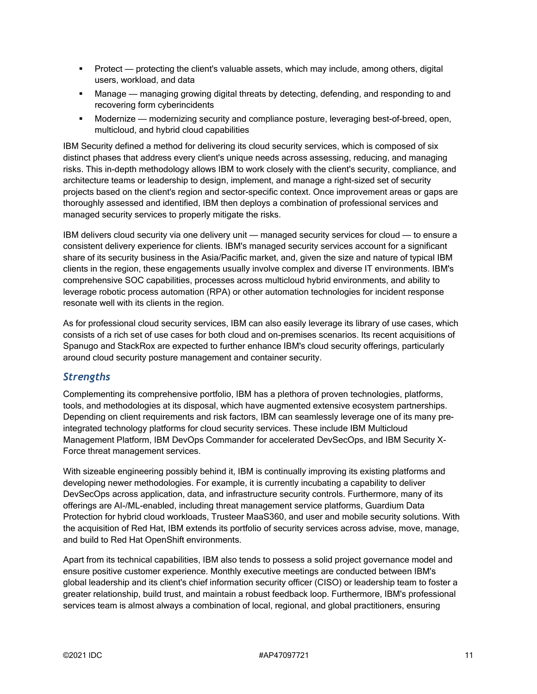- Protect protecting the client's valuable assets, which may include, among others, digital users, workload, and data
- Manage managing growing digital threats by detecting, defending, and responding to and recovering form cyberincidents
- Modernize modernizing security and compliance posture, leveraging best-of-breed, open, multicloud, and hybrid cloud capabilities

IBM Security defined a method for delivering its cloud security services, which is composed of six distinct phases that address every client's unique needs across assessing, reducing, and managing risks. This in-depth methodology allows IBM to work closely with the client's security, compliance, and architecture teams or leadership to design, implement, and manage a right-sized set of security projects based on the client's region and sector-specific context. Once improvement areas or gaps are thoroughly assessed and identified, IBM then deploys a combination of professional services and managed security services to properly mitigate the risks.

IBM delivers cloud security via one delivery unit — managed security services for cloud — to ensure a consistent delivery experience for clients. IBM's managed security services account for a significant share of its security business in the Asia/Pacific market, and, given the size and nature of typical IBM clients in the region, these engagements usually involve complex and diverse IT environments. IBM's comprehensive SOC capabilities, processes across multicloud hybrid environments, and ability to leverage robotic process automation (RPA) or other automation technologies for incident response resonate well with its clients in the region.

As for professional cloud security services, IBM can also easily leverage its library of use cases, which consists of a rich set of use cases for both cloud and on-premises scenarios. Its recent acquisitions of Spanugo and StackRox are expected to further enhance IBM's cloud security offerings, particularly around cloud security posture management and container security.

#### *Strengths*

Complementing its comprehensive portfolio, IBM has a plethora of proven technologies, platforms, tools, and methodologies at its disposal, which have augmented extensive ecosystem partnerships. Depending on client requirements and risk factors, IBM can seamlessly leverage one of its many preintegrated technology platforms for cloud security services. These include IBM Multicloud Management Platform, IBM DevOps Commander for accelerated DevSecOps, and IBM Security X-Force threat management services.

With sizeable engineering possibly behind it, IBM is continually improving its existing platforms and developing newer methodologies. For example, it is currently incubating a capability to deliver DevSecOps across application, data, and infrastructure security controls. Furthermore, many of its offerings are AI-/ML-enabled, including threat management service platforms, Guardium Data Protection for hybrid cloud workloads, Trusteer MaaS360, and user and mobile security solutions. With the acquisition of Red Hat, IBM extends its portfolio of security services across advise, move, manage, and build to Red Hat OpenShift environments.

Apart from its technical capabilities, IBM also tends to possess a solid project governance model and ensure positive customer experience. Monthly executive meetings are conducted between IBM's global leadership and its client's chief information security officer (CISO) or leadership team to foster a greater relationship, build trust, and maintain a robust feedback loop. Furthermore, IBM's professional services team is almost always a combination of local, regional, and global practitioners, ensuring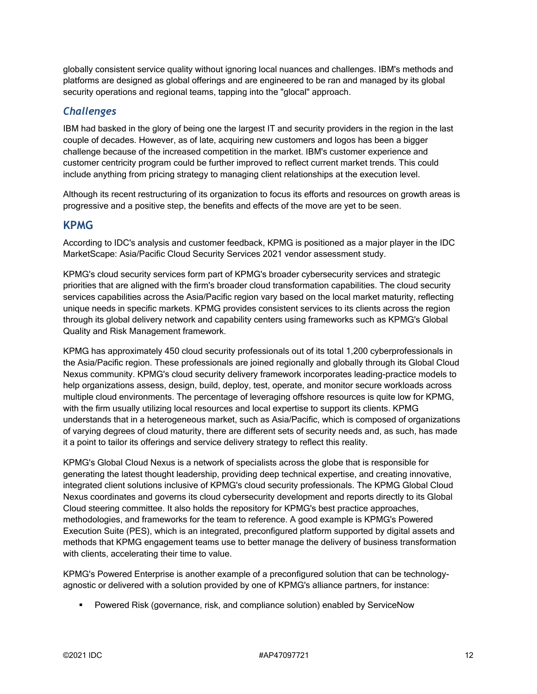globally consistent service quality without ignoring local nuances and challenges. IBM's methods and platforms are designed as global offerings and are engineered to be ran and managed by its global security operations and regional teams, tapping into the "glocal" approach.

#### *Challenges*

IBM had basked in the glory of being one the largest IT and security providers in the region in the last couple of decades. However, as of late, acquiring new customers and logos has been a bigger challenge because of the increased competition in the market. IBM's customer experience and customer centricity program could be further improved to reflect current market trends. This could include anything from pricing strategy to managing client relationships at the execution level.

Although its recent restructuring of its organization to focus its efforts and resources on growth areas is progressive and a positive step, the benefits and effects of the move are yet to be seen.

#### **KPMG**

According to IDC's analysis and customer feedback, KPMG is positioned as a major player in the IDC MarketScape: Asia/Pacific Cloud Security Services 2021 vendor assessment study.

KPMG's cloud security services form part of KPMG's broader cybersecurity services and strategic priorities that are aligned with the firm's broader cloud transformation capabilities. The cloud security services capabilities across the Asia/Pacific region vary based on the local market maturity, reflecting unique needs in specific markets. KPMG provides consistent services to its clients across the region through its global delivery network and capability centers using frameworks such as KPMG's Global Quality and Risk Management framework.

KPMG has approximately 450 cloud security professionals out of its total 1,200 cyberprofessionals in the Asia/Pacific region. These professionals are joined regionally and globally through its Global Cloud Nexus community. KPMG's cloud security delivery framework incorporates leading-practice models to help organizations assess, design, build, deploy, test, operate, and monitor secure workloads across multiple cloud environments. The percentage of leveraging offshore resources is quite low for KPMG, with the firm usually utilizing local resources and local expertise to support its clients. KPMG understands that in a heterogeneous market, such as Asia/Pacific, which is composed of organizations of varying degrees of cloud maturity, there are different sets of security needs and, as such, has made it a point to tailor its offerings and service delivery strategy to reflect this reality.

KPMG's Global Cloud Nexus is a network of specialists across the globe that is responsible for generating the latest thought leadership, providing deep technical expertise, and creating innovative, integrated client solutions inclusive of KPMG's cloud security professionals. The KPMG Global Cloud Nexus coordinates and governs its cloud cybersecurity development and reports directly to its Global Cloud steering committee. It also holds the repository for KPMG's best practice approaches, methodologies, and frameworks for the team to reference. A good example is KPMG's Powered Execution Suite (PES), which is an integrated, preconfigured platform supported by digital assets and methods that KPMG engagement teams use to better manage the delivery of business transformation with clients, accelerating their time to value.

KPMG's Powered Enterprise is another example of a preconfigured solution that can be technologyagnostic or delivered with a solution provided by one of KPMG's alliance partners, for instance:

**Powered Risk (governance, risk, and compliance solution) enabled by ServiceNow**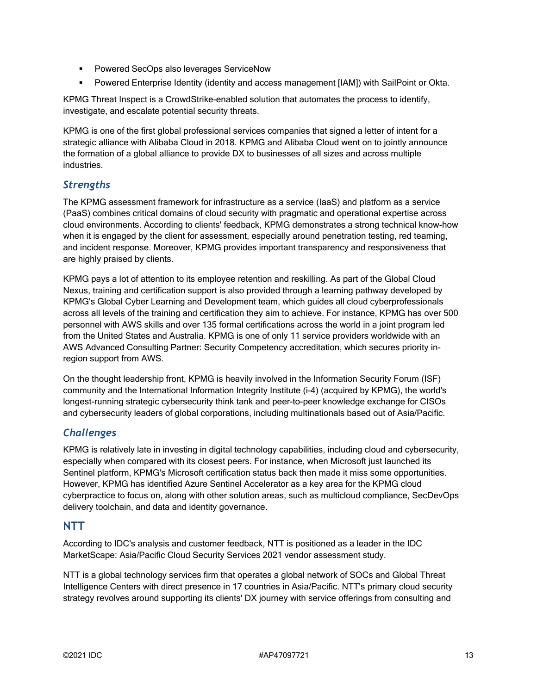- **Powered SecOps also leverages ServiceNow**
- Powered Enterprise Identity (identity and access management [IAM]) with SailPoint or Okta.

KPMG Threat Inspect is a CrowdStrike-enabled solution that automates the process to identify, investigate, and escalate potential security threats.

KPMG is one of the first global professional services companies that signed a letter of intent for a strategic alliance with Alibaba Cloud in 2018. KPMG and Alibaba Cloud went on to jointly announce the formation of a global alliance to provide DX to businesses of all sizes and across multiple industries.

# *Strengths*

The KPMG assessment framework for infrastructure as a service (IaaS) and platform as a service (PaaS) combines critical domains of cloud security with pragmatic and operational expertise across cloud environments. According to clients' feedback, KPMG demonstrates a strong technical know-how when it is engaged by the client for assessment, especially around penetration testing, red teaming, and incident response. Moreover, KPMG provides important transparency and responsiveness that are highly praised by clients.

KPMG pays a lot of attention to its employee retention and reskilling. As part of the Global Cloud Nexus, training and certification support is also provided through a learning pathway developed by KPMG's Global Cyber Learning and Development team, which guides all cloud cyberprofessionals across all levels of the training and certification they aim to achieve. For instance, KPMG has over 500 personnel with AWS skills and over 135 formal certifications across the world in a joint program led from the United States and Australia. KPMG is one of only 11 service providers worldwide with an AWS Advanced Consulting Partner: Security Competency accreditation, which secures priority inregion support from AWS.

On the thought leadership front, KPMG is heavily involved in the Information Security Forum (ISF) community and the International Information Integrity Institute (i-4) (acquired by KPMG), the world's longest-running strategic cybersecurity think tank and peer-to-peer knowledge exchange for CISOs and cybersecurity leaders of global corporations, including multinationals based out of Asia/Pacific.

# *Challenges*

KPMG is relatively late in investing in digital technology capabilities, including cloud and cybersecurity, especially when compared with its closest peers. For instance, when Microsoft just launched its Sentinel platform, KPMG's Microsoft certification status back then made it miss some opportunities. However, KPMG has identified Azure Sentinel Accelerator as a key area for the KPMG cloud cyberpractice to focus on, along with other solution areas, such as multicloud compliance, SecDevOps delivery toolchain, and data and identity governance.

# **NTT**

According to IDC's analysis and customer feedback, NTT is positioned as a leader in the IDC MarketScape: Asia/Pacific Cloud Security Services 2021 vendor assessment study.

NTT is a global technology services firm that operates a global network of SOCs and Global Threat Intelligence Centers with direct presence in 17 countries in Asia/Pacific. NTT's primary cloud security strategy revolves around supporting its clients' DX journey with service offerings from consulting and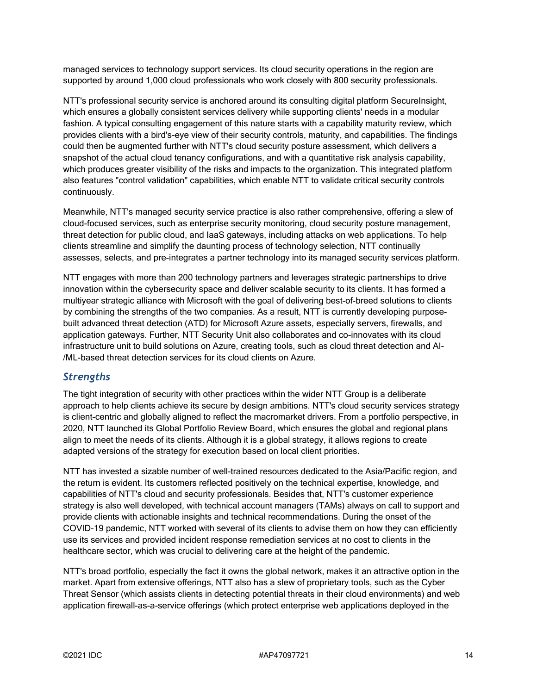managed services to technology support services. Its cloud security operations in the region are supported by around 1,000 cloud professionals who work closely with 800 security professionals.

NTT's professional security service is anchored around its consulting digital platform SecureInsight, which ensures a globally consistent services delivery while supporting clients' needs in a modular fashion. A typical consulting engagement of this nature starts with a capability maturity review, which provides clients with a bird's-eye view of their security controls, maturity, and capabilities. The findings could then be augmented further with NTT's cloud security posture assessment, which delivers a snapshot of the actual cloud tenancy configurations, and with a quantitative risk analysis capability, which produces greater visibility of the risks and impacts to the organization. This integrated platform also features "control validation" capabilities, which enable NTT to validate critical security controls continuously.

Meanwhile, NTT's managed security service practice is also rather comprehensive, offering a slew of cloud-focused services, such as enterprise security monitoring, cloud security posture management, threat detection for public cloud, and IaaS gateways, including attacks on web applications. To help clients streamline and simplify the daunting process of technology selection, NTT continually assesses, selects, and pre-integrates a partner technology into its managed security services platform.

NTT engages with more than 200 technology partners and leverages strategic partnerships to drive innovation within the cybersecurity space and deliver scalable security to its clients. It has formed a multiyear strategic alliance with Microsoft with the goal of delivering best-of-breed solutions to clients by combining the strengths of the two companies. As a result, NTT is currently developing purposebuilt advanced threat detection (ATD) for Microsoft Azure assets, especially servers, firewalls, and application gateways. Further, NTT Security Unit also collaborates and co-innovates with its cloud infrastructure unit to build solutions on Azure, creating tools, such as cloud threat detection and AI- /ML-based threat detection services for its cloud clients on Azure.

#### *Strengths*

The tight integration of security with other practices within the wider NTT Group is a deliberate approach to help clients achieve its secure by design ambitions. NTT's cloud security services strategy is client-centric and globally aligned to reflect the macromarket drivers. From a portfolio perspective, in 2020, NTT launched its Global Portfolio Review Board, which ensures the global and regional plans align to meet the needs of its clients. Although it is a global strategy, it allows regions to create adapted versions of the strategy for execution based on local client priorities.

NTT has invested a sizable number of well-trained resources dedicated to the Asia/Pacific region, and the return is evident. Its customers reflected positively on the technical expertise, knowledge, and capabilities of NTT's cloud and security professionals. Besides that, NTT's customer experience strategy is also well developed, with technical account managers (TAMs) always on call to support and provide clients with actionable insights and technical recommendations. During the onset of the COVID-19 pandemic, NTT worked with several of its clients to advise them on how they can efficiently use its services and provided incident response remediation services at no cost to clients in the healthcare sector, which was crucial to delivering care at the height of the pandemic.

NTT's broad portfolio, especially the fact it owns the global network, makes it an attractive option in the market. Apart from extensive offerings, NTT also has a slew of proprietary tools, such as the Cyber Threat Sensor (which assists clients in detecting potential threats in their cloud environments) and web application firewall-as-a-service offerings (which protect enterprise web applications deployed in the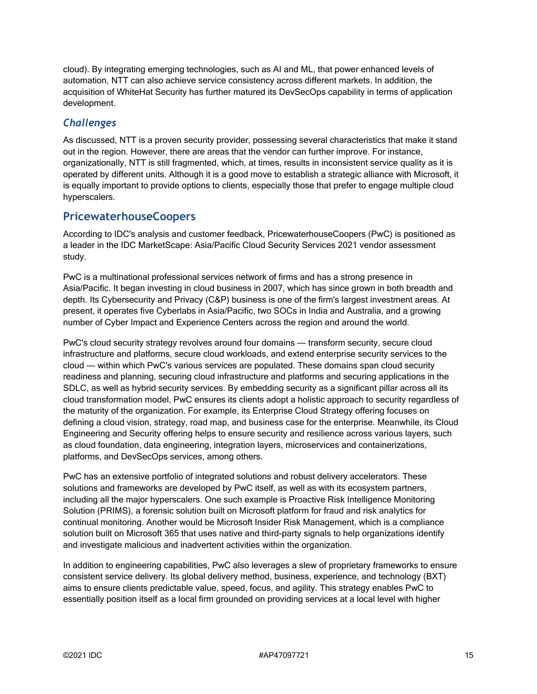cloud). By integrating emerging technologies, such as AI and ML, that power enhanced levels of automation, NTT can also achieve service consistency across different markets. In addition, the acquisition of WhiteHat Security has further matured its DevSecOps capability in terms of application development.

#### *Challenges*

As discussed, NTT is a proven security provider, possessing several characteristics that make it stand out in the region. However, there are areas that the vendor can further improve. For instance, organizationally, NTT is still fragmented, which, at times, results in inconsistent service quality as it is operated by different units. Although it is a good move to establish a strategic alliance with Microsoft, it is equally important to provide options to clients, especially those that prefer to engage multiple cloud hyperscalers.

# **PricewaterhouseCoopers**

According to IDC's analysis and customer feedback, PricewaterhouseCoopers (PwC) is positioned as a leader in the IDC MarketScape: Asia/Pacific Cloud Security Services 2021 vendor assessment study.

PwC is a multinational professional services network of firms and has a strong presence in Asia/Pacific. It began investing in cloud business in 2007, which has since grown in both breadth and depth. Its Cybersecurity and Privacy (C&P) business is one of the firm's largest investment areas. At present, it operates five Cyberlabs in Asia/Pacific, two SOCs in India and Australia, and a growing number of Cyber Impact and Experience Centers across the region and around the world.

PwC's cloud security strategy revolves around four domains — transform security, secure cloud infrastructure and platforms, secure cloud workloads, and extend enterprise security services to the cloud — within which PwC's various services are populated. These domains span cloud security readiness and planning, securing cloud infrastructure and platforms and securing applications in the SDLC, as well as hybrid security services. By embedding security as a significant pillar across all its cloud transformation model, PwC ensures its clients adopt a holistic approach to security regardless of the maturity of the organization. For example, its Enterprise Cloud Strategy offering focuses on defining a cloud vision, strategy, road map, and business case for the enterprise. Meanwhile, its Cloud Engineering and Security offering helps to ensure security and resilience across various layers, such as cloud foundation, data engineering, integration layers, microservices and containerizations, platforms, and DevSecOps services, among others.

PwC has an extensive portfolio of integrated solutions and robust delivery accelerators. These solutions and frameworks are developed by PwC itself, as well as with its ecosystem partners, including all the major hyperscalers. One such example is Proactive Risk Intelligence Monitoring Solution (PRIMS), a forensic solution built on Microsoft platform for fraud and risk analytics for continual monitoring. Another would be Microsoft Insider Risk Management, which is a compliance solution built on Microsoft 365 that uses native and third-party signals to help organizations identify and investigate malicious and inadvertent activities within the organization.

In addition to engineering capabilities, PwC also leverages a slew of proprietary frameworks to ensure consistent service delivery. Its global delivery method, business, experience, and technology (BXT) aims to ensure clients predictable value, speed, focus, and agility. This strategy enables PwC to essentially position itself as a local firm grounded on providing services at a local level with higher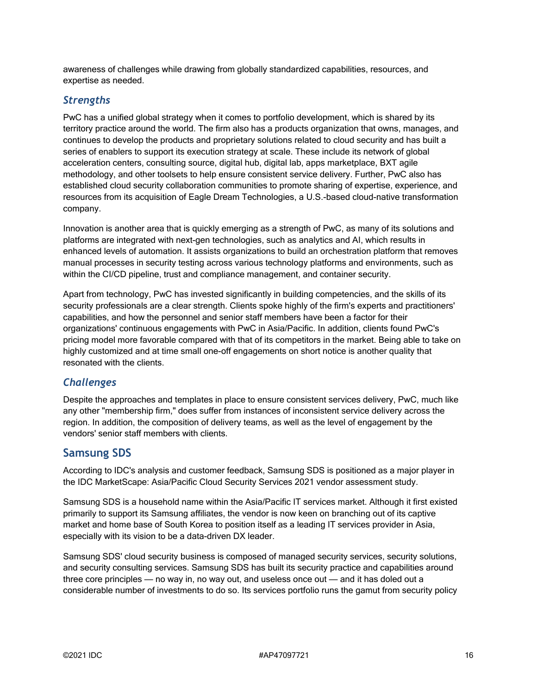awareness of challenges while drawing from globally standardized capabilities, resources, and expertise as needed.

#### *Strengths*

PwC has a unified global strategy when it comes to portfolio development, which is shared by its territory practice around the world. The firm also has a products organization that owns, manages, and continues to develop the products and proprietary solutions related to cloud security and has built a series of enablers to support its execution strategy at scale. These include its network of global acceleration centers, consulting source, digital hub, digital lab, apps marketplace, BXT agile methodology, and other toolsets to help ensure consistent service delivery. Further, PwC also has established cloud security collaboration communities to promote sharing of expertise, experience, and resources from its acquisition of Eagle Dream Technologies, a U.S.-based cloud-native transformation company.

Innovation is another area that is quickly emerging as a strength of PwC, as many of its solutions and platforms are integrated with next-gen technologies, such as analytics and AI, which results in enhanced levels of automation. It assists organizations to build an orchestration platform that removes manual processes in security testing across various technology platforms and environments, such as within the CI/CD pipeline, trust and compliance management, and container security.

Apart from technology, PwC has invested significantly in building competencies, and the skills of its security professionals are a clear strength. Clients spoke highly of the firm's experts and practitioners' capabilities, and how the personnel and senior staff members have been a factor for their organizations' continuous engagements with PwC in Asia/Pacific. In addition, clients found PwC's pricing model more favorable compared with that of its competitors in the market. Being able to take on highly customized and at time small one-off engagements on short notice is another quality that resonated with the clients.

#### *Challenges*

Despite the approaches and templates in place to ensure consistent services delivery, PwC, much like any other "membership firm," does suffer from instances of inconsistent service delivery across the region. In addition, the composition of delivery teams, as well as the level of engagement by the vendors' senior staff members with clients.

#### **Samsung SDS**

According to IDC's analysis and customer feedback, Samsung SDS is positioned as a major player in the IDC MarketScape: Asia/Pacific Cloud Security Services 2021 vendor assessment study.

Samsung SDS is a household name within the Asia/Pacific IT services market. Although it first existed primarily to support its Samsung affiliates, the vendor is now keen on branching out of its captive market and home base of South Korea to position itself as a leading IT services provider in Asia, especially with its vision to be a data-driven DX leader.

Samsung SDS' cloud security business is composed of managed security services, security solutions, and security consulting services. Samsung SDS has built its security practice and capabilities around three core principles — no way in, no way out, and useless once out — and it has doled out a considerable number of investments to do so. Its services portfolio runs the gamut from security policy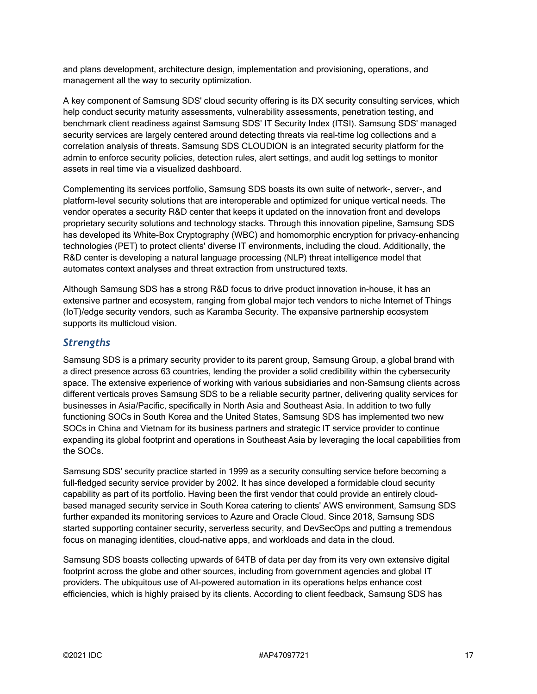and plans development, architecture design, implementation and provisioning, operations, and management all the way to security optimization.

A key component of Samsung SDS' cloud security offering is its DX security consulting services, which help conduct security maturity assessments, vulnerability assessments, penetration testing, and benchmark client readiness against Samsung SDS' IT Security Index (ITSI). Samsung SDS' managed security services are largely centered around detecting threats via real-time log collections and a correlation analysis of threats. Samsung SDS CLOUDION is an integrated security platform for the admin to enforce security policies, detection rules, alert settings, and audit log settings to monitor assets in real time via a visualized dashboard.

Complementing its services portfolio, Samsung SDS boasts its own suite of network-, server-, and platform-level security solutions that are interoperable and optimized for unique vertical needs. The vendor operates a security R&D center that keeps it updated on the innovation front and develops proprietary security solutions and technology stacks. Through this innovation pipeline, Samsung SDS has developed its White-Box Cryptography (WBC) and homomorphic encryption for privacy-enhancing technologies (PET) to protect clients' diverse IT environments, including the cloud. Additionally, the R&D center is developing a natural language processing (NLP) threat intelligence model that automates context analyses and threat extraction from unstructured texts.

Although Samsung SDS has a strong R&D focus to drive product innovation in-house, it has an extensive partner and ecosystem, ranging from global major tech vendors to niche Internet of Things (IoT)/edge security vendors, such as Karamba Security. The expansive partnership ecosystem supports its multicloud vision.

#### *Strengths*

Samsung SDS is a primary security provider to its parent group, Samsung Group, a global brand with a direct presence across 63 countries, lending the provider a solid credibility within the cybersecurity space. The extensive experience of working with various subsidiaries and non-Samsung clients across different verticals proves Samsung SDS to be a reliable security partner, delivering quality services for businesses in Asia/Pacific, specifically in North Asia and Southeast Asia. In addition to two fully functioning SOCs in South Korea and the United States, Samsung SDS has implemented two new SOCs in China and Vietnam for its business partners and strategic IT service provider to continue expanding its global footprint and operations in Southeast Asia by leveraging the local capabilities from the SOCs.

Samsung SDS' security practice started in 1999 as a security consulting service before becoming a full-fledged security service provider by 2002. It has since developed a formidable cloud security capability as part of its portfolio. Having been the first vendor that could provide an entirely cloudbased managed security service in South Korea catering to clients' AWS environment, Samsung SDS further expanded its monitoring services to Azure and Oracle Cloud. Since 2018, Samsung SDS started supporting container security, serverless security, and DevSecOps and putting a tremendous focus on managing identities, cloud-native apps, and workloads and data in the cloud.

Samsung SDS boasts collecting upwards of 64TB of data per day from its very own extensive digital footprint across the globe and other sources, including from government agencies and global IT providers. The ubiquitous use of AI-powered automation in its operations helps enhance cost efficiencies, which is highly praised by its clients. According to client feedback, Samsung SDS has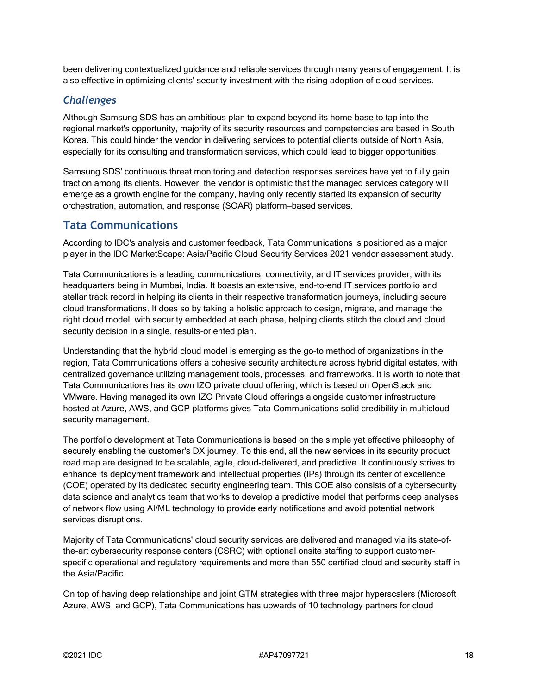been delivering contextualized guidance and reliable services through many years of engagement. It is also effective in optimizing clients' security investment with the rising adoption of cloud services.

#### *Challenges*

Although Samsung SDS has an ambitious plan to expand beyond its home base to tap into the regional market's opportunity, majority of its security resources and competencies are based in South Korea. This could hinder the vendor in delivering services to potential clients outside of North Asia, especially for its consulting and transformation services, which could lead to bigger opportunities.

Samsung SDS' continuous threat monitoring and detection responses services have yet to fully gain traction among its clients. However, the vendor is optimistic that the managed services category will emerge as a growth engine for the company, having only recently started its expansion of security orchestration, automation, and response (SOAR) platform–based services.

#### **Tata Communications**

According to IDC's analysis and customer feedback, Tata Communications is positioned as a major player in the IDC MarketScape: Asia/Pacific Cloud Security Services 2021 vendor assessment study.

Tata Communications is a leading communications, connectivity, and IT services provider, with its headquarters being in Mumbai, India. It boasts an extensive, end-to-end IT services portfolio and stellar track record in helping its clients in their respective transformation journeys, including secure cloud transformations. It does so by taking a holistic approach to design, migrate, and manage the right cloud model, with security embedded at each phase, helping clients stitch the cloud and cloud security decision in a single, results-oriented plan.

Understanding that the hybrid cloud model is emerging as the go-to method of organizations in the region, Tata Communications offers a cohesive security architecture across hybrid digital estates, with centralized governance utilizing management tools, processes, and frameworks. It is worth to note that Tata Communications has its own IZO private cloud offering, which is based on OpenStack and VMware. Having managed its own IZO Private Cloud offerings alongside customer infrastructure hosted at Azure, AWS, and GCP platforms gives Tata Communications solid credibility in multicloud security management.

The portfolio development at Tata Communications is based on the simple yet effective philosophy of securely enabling the customer's DX journey. To this end, all the new services in its security product road map are designed to be scalable, agile, cloud-delivered, and predictive. It continuously strives to enhance its deployment framework and intellectual properties (IPs) through its center of excellence (COE) operated by its dedicated security engineering team. This COE also consists of a cybersecurity data science and analytics team that works to develop a predictive model that performs deep analyses of network flow using AI/ML technology to provide early notifications and avoid potential network services disruptions.

Majority of Tata Communications' cloud security services are delivered and managed via its state-ofthe-art cybersecurity response centers (CSRC) with optional onsite staffing to support customerspecific operational and regulatory requirements and more than 550 certified cloud and security staff in the Asia/Pacific.

On top of having deep relationships and joint GTM strategies with three major hyperscalers (Microsoft Azure, AWS, and GCP), Tata Communications has upwards of 10 technology partners for cloud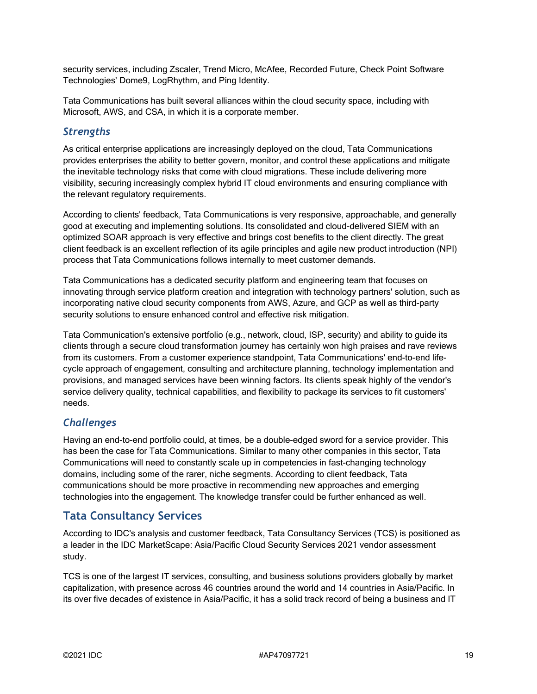security services, including Zscaler, Trend Micro, McAfee, Recorded Future, Check Point Software Technologies' Dome9, LogRhythm, and Ping Identity.

Tata Communications has built several alliances within the cloud security space, including with Microsoft, AWS, and CSA, in which it is a corporate member.

#### *Strengths*

As critical enterprise applications are increasingly deployed on the cloud, Tata Communications provides enterprises the ability to better govern, monitor, and control these applications and mitigate the inevitable technology risks that come with cloud migrations. These include delivering more visibility, securing increasingly complex hybrid IT cloud environments and ensuring compliance with the relevant regulatory requirements.

According to clients' feedback, Tata Communications is very responsive, approachable, and generally good at executing and implementing solutions. Its consolidated and cloud-delivered SIEM with an optimized SOAR approach is very effective and brings cost benefits to the client directly. The great client feedback is an excellent reflection of its agile principles and agile new product introduction (NPI) process that Tata Communications follows internally to meet customer demands.

Tata Communications has a dedicated security platform and engineering team that focuses on innovating through service platform creation and integration with technology partners' solution, such as incorporating native cloud security components from AWS, Azure, and GCP as well as third-party security solutions to ensure enhanced control and effective risk mitigation.

Tata Communication's extensive portfolio (e.g., network, cloud, ISP, security) and ability to guide its clients through a secure cloud transformation journey has certainly won high praises and rave reviews from its customers. From a customer experience standpoint, Tata Communications' end-to-end lifecycle approach of engagement, consulting and architecture planning, technology implementation and provisions, and managed services have been winning factors. Its clients speak highly of the vendor's service delivery quality, technical capabilities, and flexibility to package its services to fit customers' needs.

#### *Challenges*

Having an end-to-end portfolio could, at times, be a double-edged sword for a service provider. This has been the case for Tata Communications. Similar to many other companies in this sector, Tata Communications will need to constantly scale up in competencies in fast-changing technology domains, including some of the rarer, niche segments. According to client feedback, Tata communications should be more proactive in recommending new approaches and emerging technologies into the engagement. The knowledge transfer could be further enhanced as well.

#### **Tata Consultancy Services**

According to IDC's analysis and customer feedback, Tata Consultancy Services (TCS) is positioned as a leader in the IDC MarketScape: Asia/Pacific Cloud Security Services 2021 vendor assessment study.

TCS is one of the largest IT services, consulting, and business solutions providers globally by market capitalization, with presence across 46 countries around the world and 14 countries in Asia/Pacific. In its over five decades of existence in Asia/Pacific, it has a solid track record of being a business and IT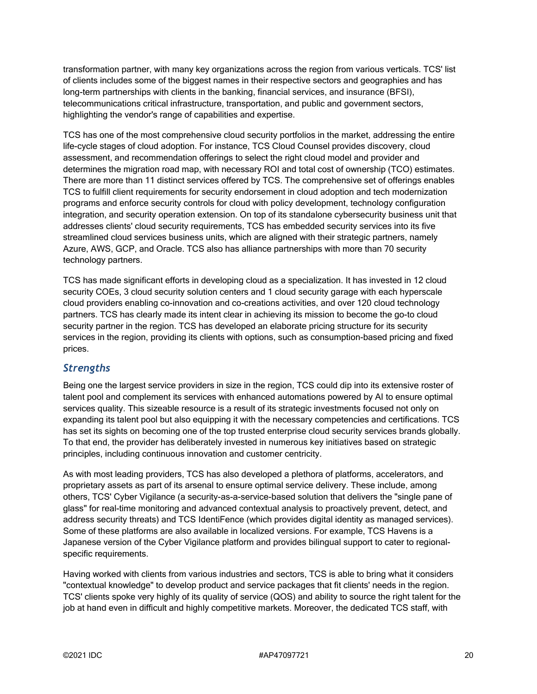transformation partner, with many key organizations across the region from various verticals. TCS' list of clients includes some of the biggest names in their respective sectors and geographies and has long-term partnerships with clients in the banking, financial services, and insurance (BFSI), telecommunications critical infrastructure, transportation, and public and government sectors, highlighting the vendor's range of capabilities and expertise.

TCS has one of the most comprehensive cloud security portfolios in the market, addressing the entire life-cycle stages of cloud adoption. For instance, TCS Cloud Counsel provides discovery, cloud assessment, and recommendation offerings to select the right cloud model and provider and determines the migration road map, with necessary ROI and total cost of ownership (TCO) estimates. There are more than 11 distinct services offered by TCS. The comprehensive set of offerings enables TCS to fulfill client requirements for security endorsement in cloud adoption and tech modernization programs and enforce security controls for cloud with policy development, technology configuration integration, and security operation extension. On top of its standalone cybersecurity business unit that addresses clients' cloud security requirements, TCS has embedded security services into its five streamlined cloud services business units, which are aligned with their strategic partners, namely Azure, AWS, GCP, and Oracle. TCS also has alliance partnerships with more than 70 security technology partners.

TCS has made significant efforts in developing cloud as a specialization. It has invested in 12 cloud security COEs, 3 cloud security solution centers and 1 cloud security garage with each hyperscale cloud providers enabling co-innovation and co-creations activities, and over 120 cloud technology partners. TCS has clearly made its intent clear in achieving its mission to become the go-to cloud security partner in the region. TCS has developed an elaborate pricing structure for its security services in the region, providing its clients with options, such as consumption-based pricing and fixed prices.

#### *Strengths*

Being one the largest service providers in size in the region, TCS could dip into its extensive roster of talent pool and complement its services with enhanced automations powered by AI to ensure optimal services quality. This sizeable resource is a result of its strategic investments focused not only on expanding its talent pool but also equipping it with the necessary competencies and certifications. TCS has set its sights on becoming one of the top trusted enterprise cloud security services brands globally. To that end, the provider has deliberately invested in numerous key initiatives based on strategic principles, including continuous innovation and customer centricity.

As with most leading providers, TCS has also developed a plethora of platforms, accelerators, and proprietary assets as part of its arsenal to ensure optimal service delivery. These include, among others, TCS' Cyber Vigilance (a security-as-a-service-based solution that delivers the "single pane of glass" for real-time monitoring and advanced contextual analysis to proactively prevent, detect, and address security threats) and TCS IdentiFence (which provides digital identity as managed services). Some of these platforms are also available in localized versions. For example, TCS Havens is a Japanese version of the Cyber Vigilance platform and provides bilingual support to cater to regionalspecific requirements.

Having worked with clients from various industries and sectors, TCS is able to bring what it considers "contextual knowledge" to develop product and service packages that fit clients' needs in the region. TCS' clients spoke very highly of its quality of service (QOS) and ability to source the right talent for the job at hand even in difficult and highly competitive markets. Moreover, the dedicated TCS staff, with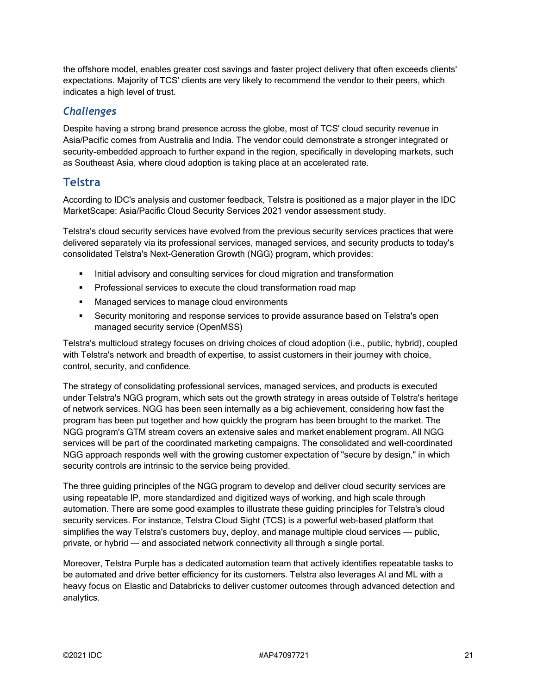the offshore model, enables greater cost savings and faster project delivery that often exceeds clients' expectations. Majority of TCS' clients are very likely to recommend the vendor to their peers, which indicates a high level of trust.

#### *Challenges*

Despite having a strong brand presence across the globe, most of TCS' cloud security revenue in Asia/Pacific comes from Australia and India. The vendor could demonstrate a stronger integrated or security-embedded approach to further expand in the region, specifically in developing markets, such as Southeast Asia, where cloud adoption is taking place at an accelerated rate.

# **Telstra**

According to IDC's analysis and customer feedback, Telstra is positioned as a major player in the IDC MarketScape: Asia/Pacific Cloud Security Services 2021 vendor assessment study.

Telstra's cloud security services have evolved from the previous security services practices that were delivered separately via its professional services, managed services, and security products to today's consolidated Telstra's Next-Generation Growth (NGG) program, which provides:

- **Initial advisory and consulting services for cloud migration and transformation**
- **Professional services to execute the cloud transformation road map**
- **Managed services to manage cloud environments**
- Security monitoring and response services to provide assurance based on Telstra's open managed security service (OpenMSS)

Telstra's multicloud strategy focuses on driving choices of cloud adoption (i.e., public, hybrid), coupled with Telstra's network and breadth of expertise, to assist customers in their journey with choice, control, security, and confidence.

The strategy of consolidating professional services, managed services, and products is executed under Telstra's NGG program, which sets out the growth strategy in areas outside of Telstra's heritage of network services. NGG has been seen internally as a big achievement, considering how fast the program has been put together and how quickly the program has been brought to the market. The NGG program's GTM stream covers an extensive sales and market enablement program. All NGG services will be part of the coordinated marketing campaigns. The consolidated and well-coordinated NGG approach responds well with the growing customer expectation of "secure by design," in which security controls are intrinsic to the service being provided.

The three guiding principles of the NGG program to develop and deliver cloud security services are using repeatable IP, more standardized and digitized ways of working, and high scale through automation. There are some good examples to illustrate these guiding principles for Telstra's cloud security services. For instance, Telstra Cloud Sight (TCS) is a powerful web-based platform that simplifies the way Telstra's customers buy, deploy, and manage multiple cloud services — public, private, or hybrid — and associated network connectivity all through a single portal.

Moreover, Telstra Purple has a dedicated automation team that actively identifies repeatable tasks to be automated and drive better efficiency for its customers. Telstra also leverages AI and ML with a heavy focus on Elastic and Databricks to deliver customer outcomes through advanced detection and analytics.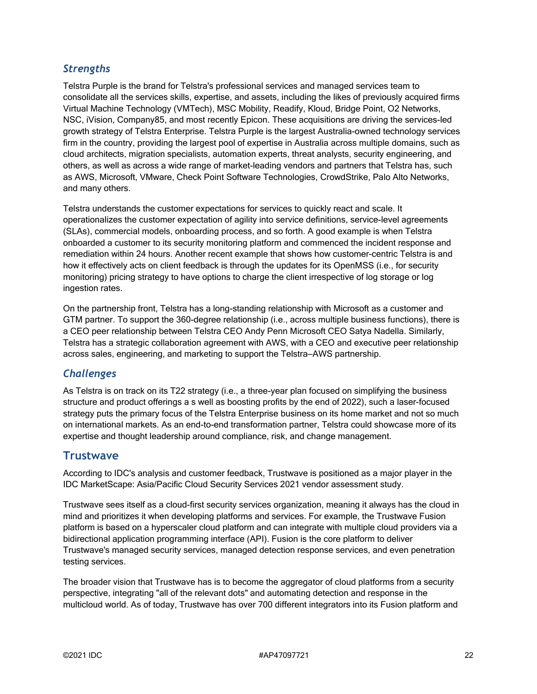# *Strengths*

Telstra Purple is the brand for Telstra's professional services and managed services team to consolidate all the services skills, expertise, and assets, including the likes of previously acquired firms Virtual Machine Technology (VMTech), MSC Mobility, Readify, Kloud, Bridge Point, O2 Networks, NSC, iVision, Company85, and most recently Epicon. These acquisitions are driving the services-led growth strategy of Telstra Enterprise. Telstra Purple is the largest Australia-owned technology services firm in the country, providing the largest pool of expertise in Australia across multiple domains, such as cloud architects, migration specialists, automation experts, threat analysts, security engineering, and others, as well as across a wide range of market-leading vendors and partners that Telstra has, such as AWS, Microsoft, VMware, Check Point Software Technologies, CrowdStrike, Palo Alto Networks, and many others.

Telstra understands the customer expectations for services to quickly react and scale. It operationalizes the customer expectation of agility into service definitions, service-level agreements (SLAs), commercial models, onboarding process, and so forth. A good example is when Telstra onboarded a customer to its security monitoring platform and commenced the incident response and remediation within 24 hours. Another recent example that shows how customer-centric Telstra is and how it effectively acts on client feedback is through the updates for its OpenMSS (i.e., for security monitoring) pricing strategy to have options to charge the client irrespective of log storage or log ingestion rates.

On the partnership front, Telstra has a long-standing relationship with Microsoft as a customer and GTM partner. To support the 360-degree relationship (i.e., across multiple business functions), there is a CEO peer relationship between Telstra CEO Andy Penn Microsoft CEO Satya Nadella. Similarly, Telstra has a strategic collaboration agreement with AWS, with a CEO and executive peer relationship across sales, engineering, and marketing to support the Telstra–AWS partnership.

#### *Challenges*

As Telstra is on track on its T22 strategy (i.e., a three-year plan focused on simplifying the business structure and product offerings a s well as boosting profits by the end of 2022), such a laser-focused strategy puts the primary focus of the Telstra Enterprise business on its home market and not so much on international markets. As an end-to-end transformation partner, Telstra could showcase more of its expertise and thought leadership around compliance, risk, and change management.

#### **Trustwave**

According to IDC's analysis and customer feedback, Trustwave is positioned as a major player in the IDC MarketScape: Asia/Pacific Cloud Security Services 2021 vendor assessment study.

Trustwave sees itself as a cloud-first security services organization, meaning it always has the cloud in mind and prioritizes it when developing platforms and services. For example, the Trustwave Fusion platform is based on a hyperscaler cloud platform and can integrate with multiple cloud providers via a bidirectional application programming interface (API). Fusion is the core platform to deliver Trustwave's managed security services, managed detection response services, and even penetration testing services.

The broader vision that Trustwave has is to become the aggregator of cloud platforms from a security perspective, integrating "all of the relevant dots" and automating detection and response in the multicloud world. As of today, Trustwave has over 700 different integrators into its Fusion platform and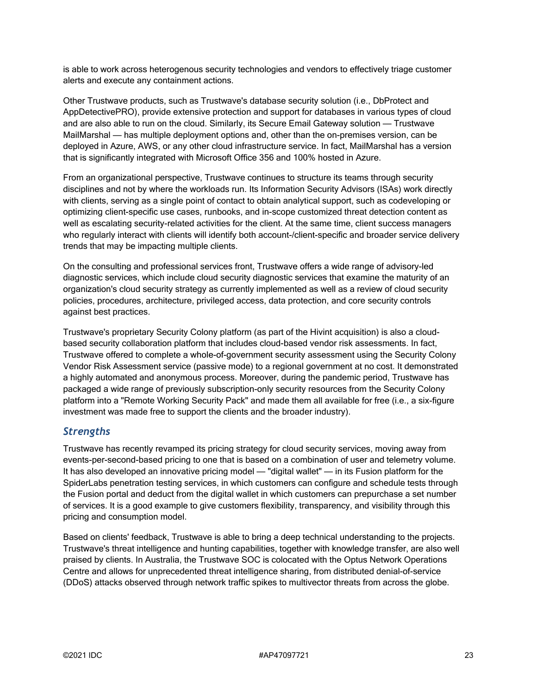is able to work across heterogenous security technologies and vendors to effectively triage customer alerts and execute any containment actions.

Other Trustwave products, such as Trustwave's database security solution (i.e., DbProtect and AppDetectivePRO), provide extensive protection and support for databases in various types of cloud and are also able to run on the cloud. Similarly, its Secure Email Gateway solution — Trustwave MailMarshal — has multiple deployment options and, other than the on-premises version, can be deployed in Azure, AWS, or any other cloud infrastructure service. In fact, MailMarshal has a version that is significantly integrated with Microsoft Office 356 and 100% hosted in Azure.

From an organizational perspective, Trustwave continues to structure its teams through security disciplines and not by where the workloads run. Its Information Security Advisors (ISAs) work directly with clients, serving as a single point of contact to obtain analytical support, such as codeveloping or optimizing client-specific use cases, runbooks, and in-scope customized threat detection content as well as escalating security-related activities for the client. At the same time, client success managers who regularly interact with clients will identify both account-/client-specific and broader service delivery trends that may be impacting multiple clients.

On the consulting and professional services front, Trustwave offers a wide range of advisory-led diagnostic services, which include cloud security diagnostic services that examine the maturity of an organization's cloud security strategy as currently implemented as well as a review of cloud security policies, procedures, architecture, privileged access, data protection, and core security controls against best practices.

Trustwave's proprietary Security Colony platform (as part of the Hivint acquisition) is also a cloudbased security collaboration platform that includes cloud-based vendor risk assessments. In fact, Trustwave offered to complete a whole-of-government security assessment using the Security Colony Vendor Risk Assessment service (passive mode) to a regional government at no cost. It demonstrated a highly automated and anonymous process. Moreover, during the pandemic period, Trustwave has packaged a wide range of previously subscription-only security resources from the Security Colony platform into a "Remote Working Security Pack" and made them all available for free (i.e., a six-figure investment was made free to support the clients and the broader industry).

#### *Strengths*

Trustwave has recently revamped its pricing strategy for cloud security services, moving away from events-per-second-based pricing to one that is based on a combination of user and telemetry volume. It has also developed an innovative pricing model — "digital wallet" — in its Fusion platform for the SpiderLabs penetration testing services, in which customers can configure and schedule tests through the Fusion portal and deduct from the digital wallet in which customers can prepurchase a set number of services. It is a good example to give customers flexibility, transparency, and visibility through this pricing and consumption model.

Based on clients' feedback, Trustwave is able to bring a deep technical understanding to the projects. Trustwave's threat intelligence and hunting capabilities, together with knowledge transfer, are also well praised by clients. In Australia, the Trustwave SOC is colocated with the Optus Network Operations Centre and allows for unprecedented threat intelligence sharing, from distributed denial-of-service (DDoS) attacks observed through network traffic spikes to multivector threats from across the globe.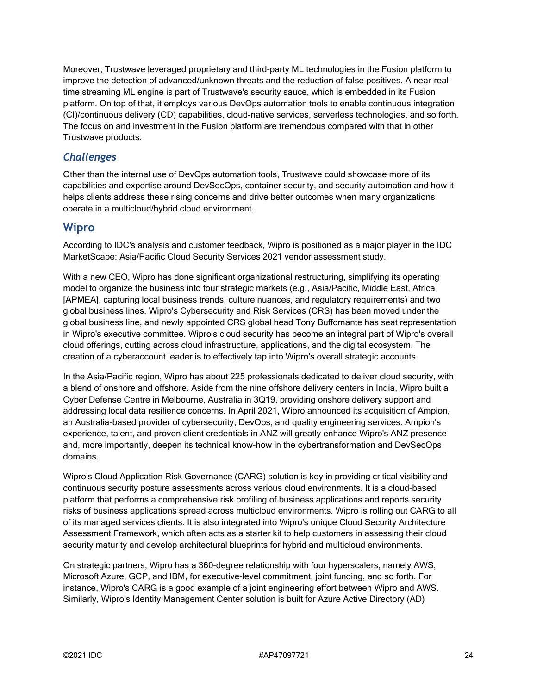Moreover, Trustwave leveraged proprietary and third-party ML technologies in the Fusion platform to improve the detection of advanced/unknown threats and the reduction of false positives. A near-realtime streaming ML engine is part of Trustwave's security sauce, which is embedded in its Fusion platform. On top of that, it employs various DevOps automation tools to enable continuous integration (CI)/continuous delivery (CD) capabilities, cloud-native services, serverless technologies, and so forth. The focus on and investment in the Fusion platform are tremendous compared with that in other Trustwave products.

# *Challenges*

Other than the internal use of DevOps automation tools, Trustwave could showcase more of its capabilities and expertise around DevSecOps, container security, and security automation and how it helps clients address these rising concerns and drive better outcomes when many organizations operate in a multicloud/hybrid cloud environment.

#### **Wipro**

According to IDC's analysis and customer feedback, Wipro is positioned as a major player in the IDC MarketScape: Asia/Pacific Cloud Security Services 2021 vendor assessment study.

With a new CEO, Wipro has done significant organizational restructuring, simplifying its operating model to organize the business into four strategic markets (e.g., Asia/Pacific, Middle East, Africa [APMEA], capturing local business trends, culture nuances, and regulatory requirements) and two global business lines. Wipro's Cybersecurity and Risk Services (CRS) has been moved under the global business line, and newly appointed CRS global head Tony Buffomante has seat representation in Wipro's executive committee. Wipro's cloud security has become an integral part of Wipro's overall cloud offerings, cutting across cloud infrastructure, applications, and the digital ecosystem. The creation of a cyberaccount leader is to effectively tap into Wipro's overall strategic accounts.

In the Asia/Pacific region, Wipro has about 225 professionals dedicated to deliver cloud security, with a blend of onshore and offshore. Aside from the nine offshore delivery centers in India, Wipro built a Cyber Defense Centre in Melbourne, Australia in 3Q19, providing onshore delivery support and addressing local data resilience concerns. In April 2021, Wipro announced its acquisition of Ampion, an Australia-based provider of cybersecurity, DevOps, and quality engineering services. Ampion's experience, talent, and proven client credentials in ANZ will greatly enhance Wipro's ANZ presence and, more importantly, deepen its technical know-how in the cybertransformation and DevSecOps domains.

Wipro's Cloud Application Risk Governance (CARG) solution is key in providing critical visibility and continuous security posture assessments across various cloud environments. It is a cloud-based platform that performs a comprehensive risk profiling of business applications and reports security risks of business applications spread across multicloud environments. Wipro is rolling out CARG to all of its managed services clients. It is also integrated into Wipro's unique Cloud Security Architecture Assessment Framework, which often acts as a starter kit to help customers in assessing their cloud security maturity and develop architectural blueprints for hybrid and multicloud environments.

On strategic partners, Wipro has a 360-degree relationship with four hyperscalers, namely AWS, Microsoft Azure, GCP, and IBM, for executive-level commitment, joint funding, and so forth. For instance, Wipro's CARG is a good example of a joint engineering effort between Wipro and AWS. Similarly, Wipro's Identity Management Center solution is built for Azure Active Directory (AD)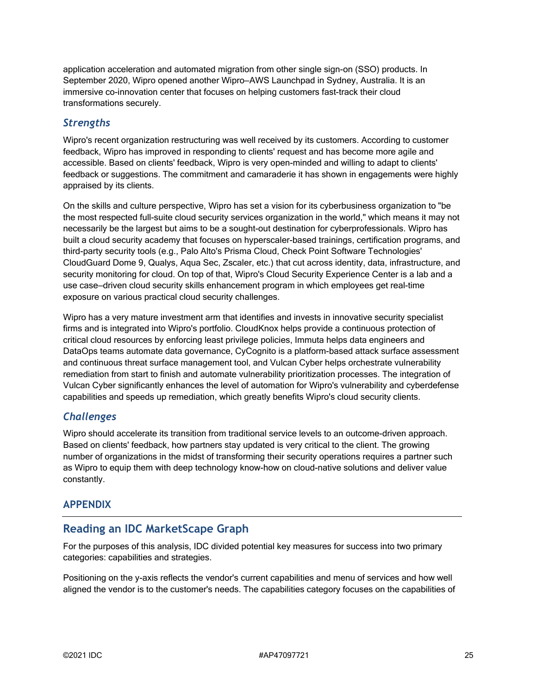application acceleration and automated migration from other single sign-on (SSO) products. In September 2020, Wipro opened another Wipro–AWS Launchpad in Sydney, Australia. It is an immersive co-innovation center that focuses on helping customers fast-track their cloud transformations securely.

#### *Strengths*

Wipro's recent organization restructuring was well received by its customers. According to customer feedback, Wipro has improved in responding to clients' request and has become more agile and accessible. Based on clients' feedback, Wipro is very open-minded and willing to adapt to clients' feedback or suggestions. The commitment and camaraderie it has shown in engagements were highly appraised by its clients.

On the skills and culture perspective, Wipro has set a vision for its cyberbusiness organization to "be the most respected full-suite cloud security services organization in the world," which means it may not necessarily be the largest but aims to be a sought-out destination for cyberprofessionals. Wipro has built a cloud security academy that focuses on hyperscaler-based trainings, certification programs, and third-party security tools (e.g., Palo Alto's Prisma Cloud, Check Point Software Technologies' CloudGuard Dome 9, Qualys, Aqua Sec, Zscaler, etc.) that cut across identity, data, infrastructure, and security monitoring for cloud. On top of that, Wipro's Cloud Security Experience Center is a lab and a use case–driven cloud security skills enhancement program in which employees get real-time exposure on various practical cloud security challenges.

Wipro has a very mature investment arm that identifies and invests in innovative security specialist firms and is integrated into Wipro's portfolio. CloudKnox helps provide a continuous protection of critical cloud resources by enforcing least privilege policies, Immuta helps data engineers and DataOps teams automate data governance, CyCognito is a platform-based attack surface assessment and continuous threat surface management tool, and Vulcan Cyber helps orchestrate vulnerability remediation from start to finish and automate vulnerability prioritization processes. The integration of Vulcan Cyber significantly enhances the level of automation for Wipro's vulnerability and cyberdefense capabilities and speeds up remediation, which greatly benefits Wipro's cloud security clients.

#### *Challenges*

Wipro should accelerate its transition from traditional service levels to an outcome-driven approach. Based on clients' feedback, how partners stay updated is very critical to the client. The growing number of organizations in the midst of transforming their security operations requires a partner such as Wipro to equip them with deep technology know-how on cloud-native solutions and deliver value constantly.

#### **APPENDIX**

# **Reading an IDC MarketScape Graph**

For the purposes of this analysis, IDC divided potential key measures for success into two primary categories: capabilities and strategies.

Positioning on the y-axis reflects the vendor's current capabilities and menu of services and how well aligned the vendor is to the customer's needs. The capabilities category focuses on the capabilities of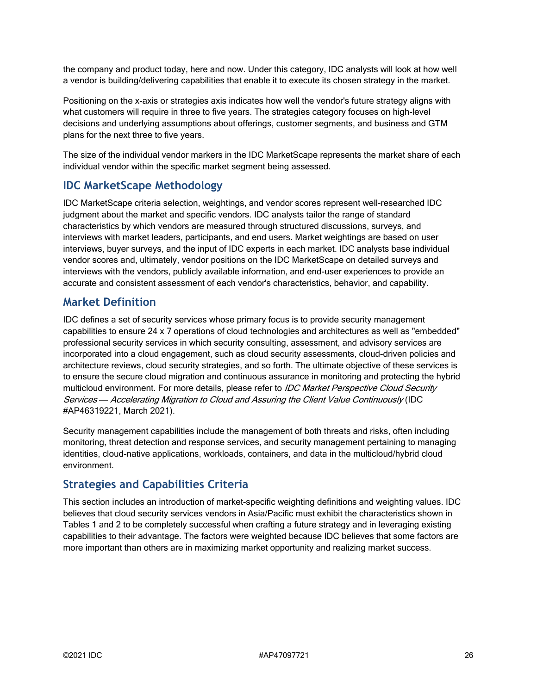the company and product today, here and now. Under this category, IDC analysts will look at how well a vendor is building/delivering capabilities that enable it to execute its chosen strategy in the market.

Positioning on the x-axis or strategies axis indicates how well the vendor's future strategy aligns with what customers will require in three to five years. The strategies category focuses on high-level decisions and underlying assumptions about offerings, customer segments, and business and GTM plans for the next three to five years.

The size of the individual vendor markers in the IDC MarketScape represents the market share of each individual vendor within the specific market segment being assessed.

# **IDC MarketScape Methodology**

IDC MarketScape criteria selection, weightings, and vendor scores represent well-researched IDC judgment about the market and specific vendors. IDC analysts tailor the range of standard characteristics by which vendors are measured through structured discussions, surveys, and interviews with market leaders, participants, and end users. Market weightings are based on user interviews, buyer surveys, and the input of IDC experts in each market. IDC analysts base individual vendor scores and, ultimately, vendor positions on the IDC MarketScape on detailed surveys and interviews with the vendors, publicly available information, and end-user experiences to provide an accurate and consistent assessment of each vendor's characteristics, behavior, and capability.

#### **Market Definition**

IDC defines a set of security services whose primary focus is to provide security management capabilities to ensure 24 x 7 operations of cloud technologies and architectures as well as "embedded" professional security services in which security consulting, assessment, and advisory services are incorporated into a cloud engagement, such as cloud security assessments, cloud-driven policies and architecture reviews, cloud security strategies, and so forth. The ultimate objective of these services is to ensure the secure cloud migration and continuous assurance in monitoring and protecting the hybrid multicloud environment. For more details, please refer to *IDC Market Perspective Cloud Security* Services *—* Accelerating Migration to Cloud and Assuring the Client Value Continuously (IDC #AP46319221, March 2021).

Security management capabilities include the management of both threats and risks, often including monitoring, threat detection and response services, and security management pertaining to managing identities, cloud-native applications, workloads, containers, and data in the multicloud/hybrid cloud environment.

# **Strategies and Capabilities Criteria**

This section includes an introduction of market-specific weighting definitions and weighting values. IDC believes that cloud security services vendors in Asia/Pacific must exhibit the characteristics shown in Tables 1 and 2 to be completely successful when crafting a future strategy and in leveraging existing capabilities to their advantage. The factors were weighted because IDC believes that some factors are more important than others are in maximizing market opportunity and realizing market success.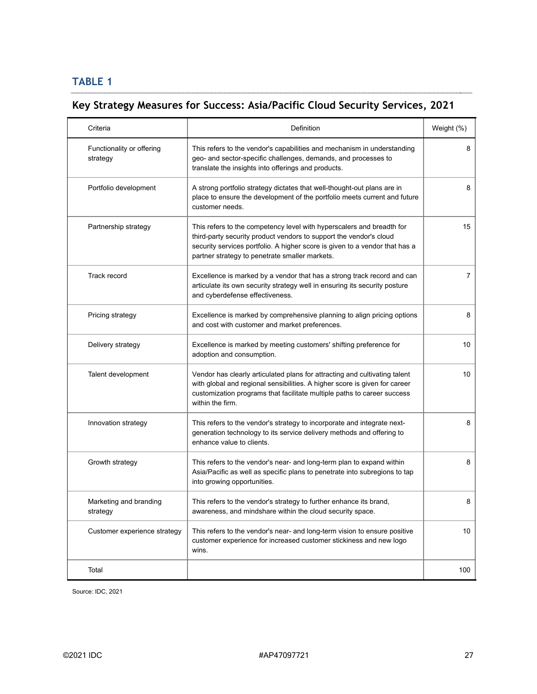# **TABLE 1**

# **Key Strategy Measures for Success: Asia/Pacific Cloud Security Services, 2021**

| Criteria                              | Definition                                                                                                                                                                                                                                                                   | Weight (%)      |
|---------------------------------------|------------------------------------------------------------------------------------------------------------------------------------------------------------------------------------------------------------------------------------------------------------------------------|-----------------|
| Functionality or offering<br>strategy | This refers to the vendor's capabilities and mechanism in understanding<br>geo- and sector-specific challenges, demands, and processes to<br>translate the insights into offerings and products.                                                                             | 8               |
| Portfolio development                 | A strong portfolio strategy dictates that well-thought-out plans are in<br>place to ensure the development of the portfolio meets current and future<br>customer needs.                                                                                                      | 8               |
| Partnership strategy                  | This refers to the competency level with hyperscalers and breadth for<br>third-party security product vendors to support the vendor's cloud<br>security services portfolio. A higher score is given to a vendor that has a<br>partner strategy to penetrate smaller markets. | 15              |
| Track record                          | Excellence is marked by a vendor that has a strong track record and can<br>articulate its own security strategy well in ensuring its security posture<br>and cyberdefense effectiveness.                                                                                     | $\overline{7}$  |
| Pricing strategy                      | Excellence is marked by comprehensive planning to align pricing options<br>and cost with customer and market preferences.                                                                                                                                                    | 8               |
| Delivery strategy                     | Excellence is marked by meeting customers' shifting preference for<br>adoption and consumption.                                                                                                                                                                              | 10              |
| Talent development                    | Vendor has clearly articulated plans for attracting and cultivating talent<br>with global and regional sensibilities. A higher score is given for career<br>customization programs that facilitate multiple paths to career success<br>within the firm.                      | 10 <sup>1</sup> |
| Innovation strategy                   | This refers to the vendor's strategy to incorporate and integrate next-<br>generation technology to its service delivery methods and offering to<br>enhance value to clients.                                                                                                | 8               |
| Growth strategy                       | This refers to the vendor's near- and long-term plan to expand within<br>Asia/Pacific as well as specific plans to penetrate into subregions to tap<br>into growing opportunities.                                                                                           | 8               |
| Marketing and branding<br>strategy    | This refers to the vendor's strategy to further enhance its brand,<br>awareness, and mindshare within the cloud security space.                                                                                                                                              | 8               |
| Customer experience strategy          | This refers to the vendor's near- and long-term vision to ensure positive<br>customer experience for increased customer stickiness and new logo<br>wins.                                                                                                                     | 10 <sup>1</sup> |
| Total                                 |                                                                                                                                                                                                                                                                              | 100             |

Source: IDC, 2021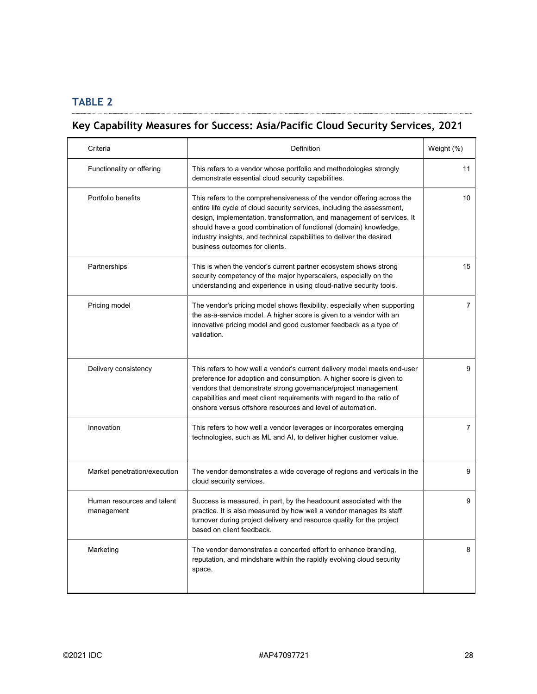# **TABLE 2**

 $\ldots$ 

# **Key Capability Measures for Success: Asia/Pacific Cloud Security Services, 2021**

| Criteria                                 | Definition                                                                                                                                                                                                                                                                                                                                                                                                | Weight (%)     |
|------------------------------------------|-----------------------------------------------------------------------------------------------------------------------------------------------------------------------------------------------------------------------------------------------------------------------------------------------------------------------------------------------------------------------------------------------------------|----------------|
| Functionality or offering                | This refers to a vendor whose portfolio and methodologies strongly<br>demonstrate essential cloud security capabilities.                                                                                                                                                                                                                                                                                  | 11             |
| Portfolio benefits                       | This refers to the comprehensiveness of the vendor offering across the<br>entire life cycle of cloud security services, including the assessment,<br>design, implementation, transformation, and management of services. It<br>should have a good combination of functional (domain) knowledge,<br>industry insights, and technical capabilities to deliver the desired<br>business outcomes for clients. | 10             |
| Partnerships                             | This is when the vendor's current partner ecosystem shows strong<br>security competency of the major hyperscalers, especially on the<br>understanding and experience in using cloud-native security tools.                                                                                                                                                                                                | 15             |
| Pricing model                            | The vendor's pricing model shows flexibility, especially when supporting<br>the as-a-service model. A higher score is given to a vendor with an<br>innovative pricing model and good customer feedback as a type of<br>validation.                                                                                                                                                                        | $\overline{7}$ |
| Delivery consistency                     | This refers to how well a vendor's current delivery model meets end-user<br>preference for adoption and consumption. A higher score is given to<br>vendors that demonstrate strong governance/project management<br>capabilities and meet client requirements with regard to the ratio of<br>onshore versus offshore resources and level of automation.                                                   | 9              |
| Innovation                               | This refers to how well a vendor leverages or incorporates emerging<br>technologies, such as ML and AI, to deliver higher customer value.                                                                                                                                                                                                                                                                 | $\overline{7}$ |
| Market penetration/execution             | The vendor demonstrates a wide coverage of regions and verticals in the<br>cloud security services.                                                                                                                                                                                                                                                                                                       | 9              |
| Human resources and talent<br>management | Success is measured, in part, by the headcount associated with the<br>practice. It is also measured by how well a vendor manages its staff<br>turnover during project delivery and resource quality for the project<br>based on client feedback.                                                                                                                                                          | 9              |
| Marketing                                | The vendor demonstrates a concerted effort to enhance branding,<br>reputation, and mindshare within the rapidly evolving cloud security<br>space.                                                                                                                                                                                                                                                         | 8              |

.<br>........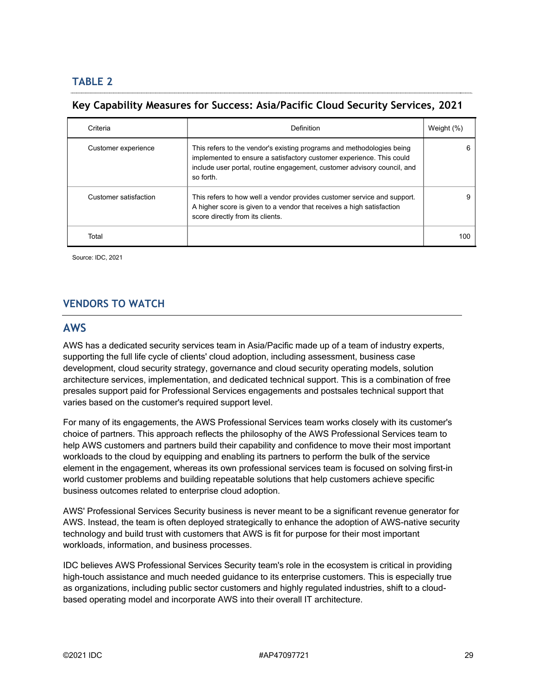# **TABLE 2**

# **Key Capability Measures for Success: Asia/Pacific Cloud Security Services, 2021**

| Criteria              | Definition                                                                                                                                                                                                                            | Weight (%) |
|-----------------------|---------------------------------------------------------------------------------------------------------------------------------------------------------------------------------------------------------------------------------------|------------|
| Customer experience   | This refers to the vendor's existing programs and methodologies being<br>implemented to ensure a satisfactory customer experience. This could<br>include user portal, routine engagement, customer advisory council, and<br>so forth. | 6          |
| Customer satisfaction | This refers to how well a vendor provides customer service and support.<br>A higher score is given to a vendor that receives a high satisfaction<br>score directly from its clients.                                                  | 9          |
| Total                 |                                                                                                                                                                                                                                       | 100        |

Source: IDC, 2021

# **VENDORS TO WATCH**

#### **AWS**

AWS has a dedicated security services team in Asia/Pacific made up of a team of industry experts, supporting the full life cycle of clients' cloud adoption, including assessment, business case development, cloud security strategy, governance and cloud security operating models, solution architecture services, implementation, and dedicated technical support. This is a combination of free presales support paid for Professional Services engagements and postsales technical support that varies based on the customer's required support level.

For many of its engagements, the AWS Professional Services team works closely with its customer's choice of partners. This approach reflects the philosophy of the AWS Professional Services team to help AWS customers and partners build their capability and confidence to move their most important workloads to the cloud by equipping and enabling its partners to perform the bulk of the service element in the engagement, whereas its own professional services team is focused on solving first-in world customer problems and building repeatable solutions that help customers achieve specific business outcomes related to enterprise cloud adoption.

AWS' Professional Services Security business is never meant to be a significant revenue generator for AWS. Instead, the team is often deployed strategically to enhance the adoption of AWS-native security technology and build trust with customers that AWS is fit for purpose for their most important workloads, information, and business processes.

IDC believes AWS Professional Services Security team's role in the ecosystem is critical in providing high-touch assistance and much needed guidance to its enterprise customers. This is especially true as organizations, including public sector customers and highly regulated industries, shift to a cloudbased operating model and incorporate AWS into their overall IT architecture.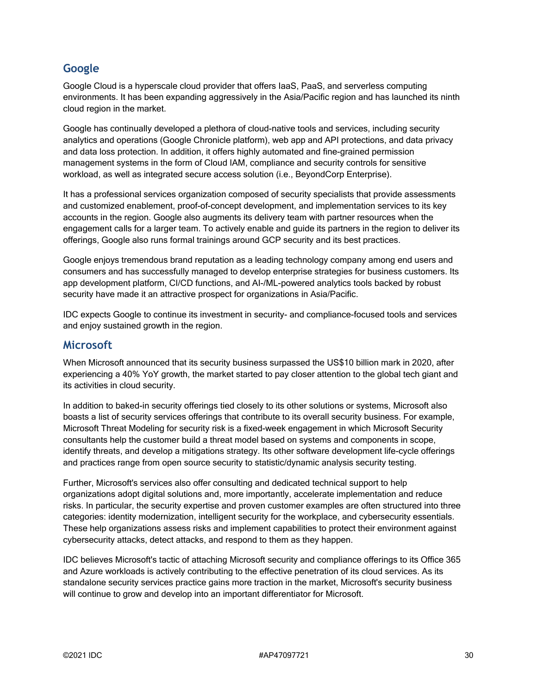# **Google**

Google Cloud is a hyperscale cloud provider that offers IaaS, PaaS, and serverless computing environments. It has been expanding aggressively in the Asia/Pacific region and has launched its ninth cloud region in the market.

Google has continually developed a plethora of cloud-native tools and services, including security analytics and operations (Google Chronicle platform), web app and API protections, and data privacy and data loss protection. In addition, it offers highly automated and fine-grained permission management systems in the form of Cloud IAM, compliance and security controls for sensitive workload, as well as integrated secure access solution (i.e., BeyondCorp Enterprise).

It has a professional services organization composed of security specialists that provide assessments and customized enablement, proof-of-concept development, and implementation services to its key accounts in the region. Google also augments its delivery team with partner resources when the engagement calls for a larger team. To actively enable and guide its partners in the region to deliver its offerings, Google also runs formal trainings around GCP security and its best practices.

Google enjoys tremendous brand reputation as a leading technology company among end users and consumers and has successfully managed to develop enterprise strategies for business customers. Its app development platform, CI/CD functions, and AI-/ML-powered analytics tools backed by robust security have made it an attractive prospect for organizations in Asia/Pacific.

IDC expects Google to continue its investment in security- and compliance-focused tools and services and enjoy sustained growth in the region.

#### **Microsoft**

When Microsoft announced that its security business surpassed the US\$10 billion mark in 2020, after experiencing a 40% YoY growth, the market started to pay closer attention to the global tech giant and its activities in cloud security.

In addition to baked-in security offerings tied closely to its other solutions or systems, Microsoft also boasts a list of security services offerings that contribute to its overall security business. For example, Microsoft Threat Modeling for security risk is a fixed-week engagement in which Microsoft Security consultants help the customer build a threat model based on systems and components in scope, identify threats, and develop a mitigations strategy. Its other software development life-cycle offerings and practices range from open source security to statistic/dynamic analysis security testing.

Further, Microsoft's services also offer consulting and dedicated technical support to help organizations adopt digital solutions and, more importantly, accelerate implementation and reduce risks. In particular, the security expertise and proven customer examples are often structured into three categories: identity modernization, intelligent security for the workplace, and cybersecurity essentials. These help organizations assess risks and implement capabilities to protect their environment against cybersecurity attacks, detect attacks, and respond to them as they happen.

IDC believes Microsoft's tactic of attaching Microsoft security and compliance offerings to its Office 365 and Azure workloads is actively contributing to the effective penetration of its cloud services. As its standalone security services practice gains more traction in the market, Microsoft's security business will continue to grow and develop into an important differentiator for Microsoft.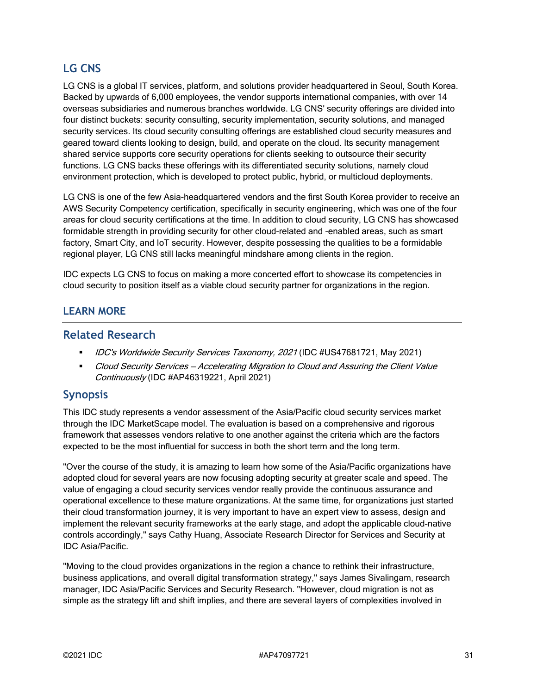# **LG CNS**

LG CNS is a global IT services, platform, and solutions provider headquartered in Seoul, South Korea. Backed by upwards of 6,000 employees, the vendor supports international companies, with over 14 overseas subsidiaries and numerous branches worldwide. LG CNS' security offerings are divided into four distinct buckets: security consulting, security implementation, security solutions, and managed security services. Its cloud security consulting offerings are established cloud security measures and geared toward clients looking to design, build, and operate on the cloud. Its security management shared service supports core security operations for clients seeking to outsource their security functions. LG CNS backs these offerings with its differentiated security solutions, namely cloud environment protection, which is developed to protect public, hybrid, or multicloud deployments.

LG CNS is one of the few Asia-headquartered vendors and the first South Korea provider to receive an AWS Security Competency certification, specifically in security engineering, which was one of the four areas for cloud security certifications at the time. In addition to cloud security, LG CNS has showcased formidable strength in providing security for other cloud-related and -enabled areas, such as smart factory, Smart City, and IoT security. However, despite possessing the qualities to be a formidable regional player, LG CNS still lacks meaningful mindshare among clients in the region.

IDC expects LG CNS to focus on making a more concerted effort to showcase its competencies in cloud security to position itself as a viable cloud security partner for organizations in the region.

#### **LEARN MORE**

#### **Related Research**

- IDC's Worldwide Security Services Taxonomy, 2021 (IDC #US47681721, May 2021)
- **Cloud Security Services Accelerating Migration to Cloud and Assuring the Client Value** Continuously (IDC #AP46319221, April 2021)

#### **Synopsis**

This IDC study represents a vendor assessment of the Asia/Pacific cloud security services market through the IDC MarketScape model. The evaluation is based on a comprehensive and rigorous framework that assesses vendors relative to one another against the criteria which are the factors expected to be the most influential for success in both the short term and the long term.

"Over the course of the study, it is amazing to learn how some of the Asia/Pacific organizations have adopted cloud for several years are now focusing adopting security at greater scale and speed. The value of engaging a cloud security services vendor really provide the continuous assurance and operational excellence to these mature organizations. At the same time, for organizations just started their cloud transformation journey, it is very important to have an expert view to assess, design and implement the relevant security frameworks at the early stage, and adopt the applicable cloud-native controls accordingly," says Cathy Huang, Associate Research Director for Services and Security at IDC Asia/Pacific.

"Moving to the cloud provides organizations in the region a chance to rethink their infrastructure, business applications, and overall digital transformation strategy," says James Sivalingam, research manager, IDC Asia/Pacific Services and Security Research. "However, cloud migration is not as simple as the strategy lift and shift implies, and there are several layers of complexities involved in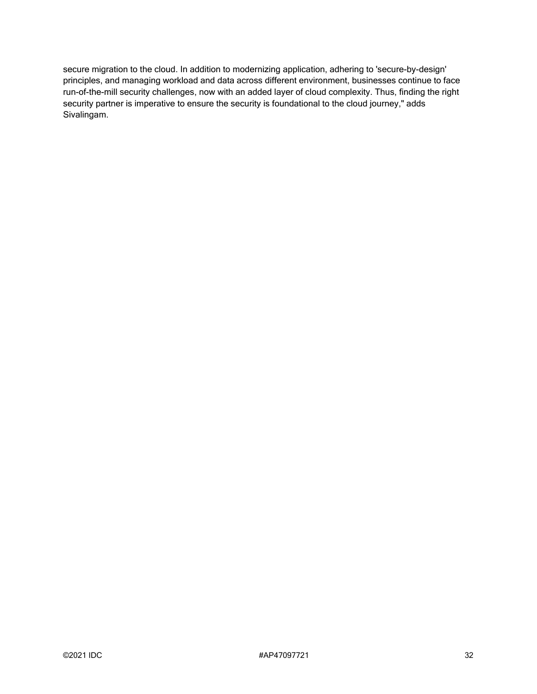secure migration to the cloud. In addition to modernizing application, adhering to 'secure-by-design' principles, and managing workload and data across different environment, businesses continue to face run-of-the-mill security challenges, now with an added layer of cloud complexity. Thus, finding the right security partner is imperative to ensure the security is foundational to the cloud journey," adds Sivalingam.